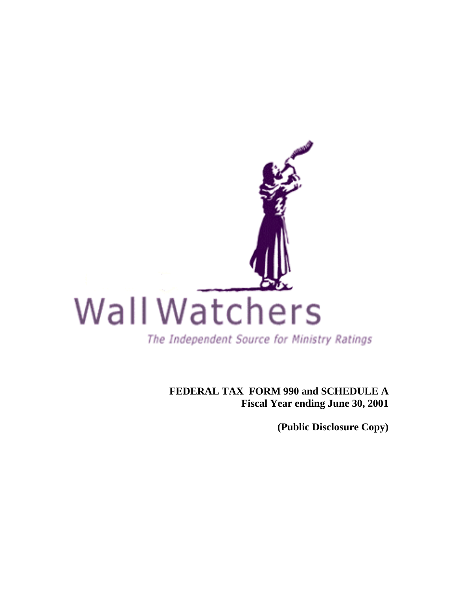

**FEDERAL TAX FORM 990 and SCHEDULE A Fiscal Year ending June 30, 2001** 

**(Public Disclosure Copy)**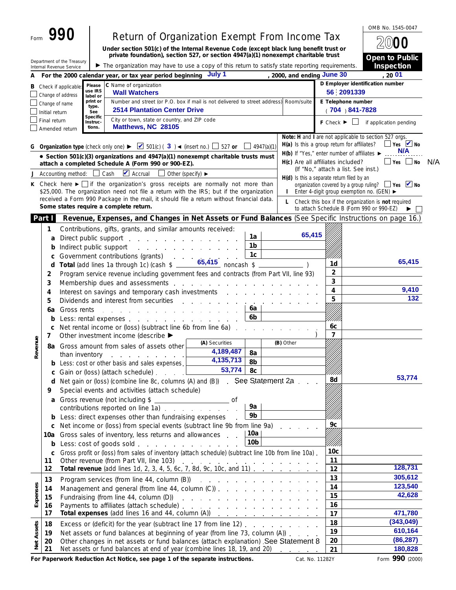|            |                |                                                                                                                                                                                                                        |                      | Return of Organization Exempt From Income Tax                                                                                                                                                                                  |                                                     |                        |                                             |                                        | OMB No. 1545-0047                                                                                                                   |     |
|------------|----------------|------------------------------------------------------------------------------------------------------------------------------------------------------------------------------------------------------------------------|----------------------|--------------------------------------------------------------------------------------------------------------------------------------------------------------------------------------------------------------------------------|-----------------------------------------------------|------------------------|---------------------------------------------|----------------------------------------|-------------------------------------------------------------------------------------------------------------------------------------|-----|
|            |                |                                                                                                                                                                                                                        |                      | Under section 501(c) of the Internal Revenue Code (except black lung benefit trust or                                                                                                                                          |                                                     |                        |                                             |                                        |                                                                                                                                     |     |
|            |                | Department of the Treasury                                                                                                                                                                                             |                      | private foundation), section 527, or section 4947(a)(1) nonexempt charitable trust                                                                                                                                             |                                                     |                        |                                             |                                        | Open to Public                                                                                                                      |     |
|            |                | Internal Revenue Service                                                                                                                                                                                               |                      | The organization may have to use a copy of this return to satisfy state reporting requirements.                                                                                                                                |                                                     |                        |                                             |                                        | <b>Inspection</b>                                                                                                                   |     |
| А          |                |                                                                                                                                                                                                                        |                      | For the 2000 calendar year, or tax year period beginning July 1                                                                                                                                                                |                                                     |                        | , 2000, and ending June 30                  |                                        | 20 01<br>D Employer identification number                                                                                           |     |
| В          |                | Check if applicable:                                                                                                                                                                                                   | Please<br>use IRS    | C Name of organization<br><b>Wall Watchers</b>                                                                                                                                                                                 |                                                     |                        |                                             |                                        | 56 2091339                                                                                                                          |     |
|            | Change of name | Change of address                                                                                                                                                                                                      | label or<br>print or | Number and street (or P.O. box if mail is not delivered to street address) Room/suite                                                                                                                                          |                                                     |                        |                                             |                                        | E Telephone number                                                                                                                  |     |
|            | Initial return |                                                                                                                                                                                                                        | type.<br>See         | <b>2514 Plantation Center Drive</b>                                                                                                                                                                                            |                                                     |                        |                                             |                                        | 704 ) 841-7828                                                                                                                      |     |
|            | Final return   |                                                                                                                                                                                                                        | Specific<br>Instruc- | City or town, state or country, and ZIP code                                                                                                                                                                                   |                                                     |                        |                                             | $F$ Check $\blacktriangleright$ $\Box$ | if application pending                                                                                                              |     |
|            |                | Amended return                                                                                                                                                                                                         | tions.               | Matthews, NC 28105                                                                                                                                                                                                             |                                                     |                        |                                             |                                        |                                                                                                                                     |     |
| G          |                |                                                                                                                                                                                                                        |                      | Organization type (check only one) $\blacktriangleright$ 501(c) (3) < (insert no.) $\Box$ 527 or                                                                                                                               |                                                     | 4947(a)(1)             | H(a) Is this a group return for affiliates? |                                        | Note: H and I are not applicable to section 527 orgs.<br>$\Box$ Yes $\Box$ No<br>N/A<br>H(b) If "Yes," enter number of affiliates ▶ |     |
|            |                |                                                                                                                                                                                                                        |                      | • Section 501(c)(3) organizations and 4947(a)(1) nonexempt charitable trusts must<br>attach a completed Schedule A (Form 990 or 900-EZ).                                                                                       |                                                     |                        | H(c) Are all affiliates included?           |                                        | ∐Yes ∐ No                                                                                                                           | N/A |
| J          |                | Accounting method:                                                                                                                                                                                                     |                      | $\blacktriangleright$ Accrual<br>Cash<br>Other (specify) $\blacktriangleright$                                                                                                                                                 |                                                     |                        |                                             |                                        | (If "No," attach a list. See inst.)                                                                                                 |     |
| к          |                |                                                                                                                                                                                                                        |                      | Check here $\blacktriangleright$ if the organization's gross receipts are normally not more than                                                                                                                               |                                                     |                        | H(d) Is this a separate return filed by an  |                                        | organization covered by a group ruling? $\Box$ Yes $\Box$ No                                                                        |     |
|            |                |                                                                                                                                                                                                                        |                      | \$25,000. The organization need not file a return with the IRS; but if the organization                                                                                                                                        |                                                     |                        | $\mathbf{I}$                                |                                        | Enter 4-digit group exemption no. (GEN) ►                                                                                           |     |
|            |                |                                                                                                                                                                                                                        |                      | received a Form 990 Package in the mail, it should file a return without financial data.<br>Some states require a complete return.                                                                                             |                                                     |                        | L                                           |                                        | Check this box if the organization is not required                                                                                  |     |
|            | Part I         |                                                                                                                                                                                                                        |                      | Revenue, Expenses, and Changes in Net Assets or Fund Balances (See Specific Instructions on page 16.)                                                                                                                          |                                                     |                        |                                             |                                        | to attach Schedule B (Form 990 or 990-EZ)                                                                                           |     |
|            | 1              |                                                                                                                                                                                                                        |                      | Contributions, gifts, grants, and similar amounts received:                                                                                                                                                                    |                                                     |                        |                                             |                                        |                                                                                                                                     |     |
|            | a              |                                                                                                                                                                                                                        |                      | Direct public support                                                                                                                                                                                                          |                                                     | 1a                     | 65,415                                      |                                        |                                                                                                                                     |     |
|            | b              | Indirect public support                                                                                                                                                                                                |                      | the contract of the contract of the contract of the contract of the contract of the contract of the contract of                                                                                                                |                                                     | 1b                     |                                             |                                        |                                                                                                                                     |     |
|            | C              |                                                                                                                                                                                                                        |                      | Government contributions (grants)<br><b>Contractor</b>                                                                                                                                                                         |                                                     | 1 <sub>c</sub>         |                                             |                                        |                                                                                                                                     |     |
|            | d              |                                                                                                                                                                                                                        |                      | Total (add lines 1a through 1c) (cash \$                                                                                                                                                                                       | $65,415$ noncash \$ _                               |                        |                                             | 1d                                     | 65,415                                                                                                                              |     |
|            | 2              |                                                                                                                                                                                                                        |                      | Program service revenue including government fees and contracts (from Part VII, line 93)                                                                                                                                       |                                                     |                        |                                             | 2                                      |                                                                                                                                     |     |
|            | 3              | Membership dues and assessments and contact the contract of the membership dues and assessments<br>4<br>Interest on savings and temporary cash investments and the contract of the same state of the same state of the |                      |                                                                                                                                                                                                                                |                                                     |                        |                                             | 3                                      | 9,410                                                                                                                               |     |
|            | 4<br>5         |                                                                                                                                                                                                                        |                      | Dividends and interest from securities                                                                                                                                                                                         |                                                     |                        |                                             | 5                                      | 132                                                                                                                                 |     |
|            | 6a             | Gross rents                                                                                                                                                                                                            |                      | the contract of the contract of the contract of the contract of the contract of the contract of the contract of                                                                                                                |                                                     | 6a                     |                                             | 77.                                    |                                                                                                                                     |     |
|            | b              |                                                                                                                                                                                                                        |                      | Less: rental expenses example and a series of the series of the series of the series of the series of the series of the series of the series of the series of the series of the series of the series of the series of the seri |                                                     | 6b                     |                                             |                                        |                                                                                                                                     |     |
|            | C<br>7         |                                                                                                                                                                                                                        |                      | Net rental income or (loss) (subtract line 6b from line 6a)<br>Other investment income (describe ▶                                                                                                                             |                                                     |                        |                                             | 6C<br>7                                |                                                                                                                                     |     |
| Revenue    |                |                                                                                                                                                                                                                        |                      | 8a Gross amount from sales of assets other                                                                                                                                                                                     | (A) Securities                                      |                        | (B) Other                                   |                                        |                                                                                                                                     |     |
|            |                | than inventory                                                                                                                                                                                                         |                      |                                                                                                                                                                                                                                | 4,189,487                                           | 8a                     |                                             |                                        |                                                                                                                                     |     |
|            | b              |                                                                                                                                                                                                                        |                      | Less: cost or other basis and sales expenses.                                                                                                                                                                                  | 4,135,713<br>53,774                                 | 8b                     |                                             |                                        |                                                                                                                                     |     |
|            | C              |                                                                                                                                                                                                                        |                      | Gain or (loss) (attach schedule)                                                                                                                                                                                               |                                                     | 8c                     |                                             | 8d                                     | 53,774                                                                                                                              |     |
|            | d<br>9         |                                                                                                                                                                                                                        |                      | Special events and activities (attach schedule)                                                                                                                                                                                |                                                     |                        |                                             |                                        |                                                                                                                                     |     |
|            | a              |                                                                                                                                                                                                                        |                      | Gross revenue (not including \$                                                                                                                                                                                                | $\overline{\phantom{a}}$ of                         |                        |                                             |                                        |                                                                                                                                     |     |
|            |                |                                                                                                                                                                                                                        |                      | contributions reported on line 1a) example and the contributions reported on line 1a)                                                                                                                                          |                                                     | 9а                     |                                             |                                        |                                                                                                                                     |     |
|            | b              |                                                                                                                                                                                                                        |                      | Less: direct expenses other than fundraising expenses                                                                                                                                                                          |                                                     | 9b                     |                                             |                                        |                                                                                                                                     |     |
|            | С              |                                                                                                                                                                                                                        |                      | Net income or (loss) from special events (subtract line 9b from line 9a)                                                                                                                                                       |                                                     |                        |                                             | 9с                                     |                                                                                                                                     |     |
|            | 10a            |                                                                                                                                                                                                                        |                      | Gross sales of inventory, less returns and allowances                                                                                                                                                                          |                                                     | 10a<br>10 <sub>b</sub> |                                             |                                        |                                                                                                                                     |     |
|            | b<br>C         |                                                                                                                                                                                                                        |                      | Less: cost of goods sold<br>Gross profit or (loss) from sales of inventory (attach schedule) (subtract line 10b from line 10a).                                                                                                |                                                     |                        |                                             | 10 <sub>c</sub>                        |                                                                                                                                     |     |
|            | 11             |                                                                                                                                                                                                                        |                      | Other revenue (from Part VII, line 103)                                                                                                                                                                                        | and a series of the contract of the contract of the |                        |                                             | 11                                     |                                                                                                                                     |     |
|            | 12             |                                                                                                                                                                                                                        |                      | Total revenue (add lines 1d, 2, 3, 4, 5, 6c, 7, 8d, 9c, 10c, and 11)                                                                                                                                                           |                                                     |                        |                                             | 12                                     | 128,731                                                                                                                             |     |
|            | 13             |                                                                                                                                                                                                                        |                      |                                                                                                                                                                                                                                |                                                     |                        |                                             | 13                                     | 305,612                                                                                                                             |     |
| Expenses   | 14             |                                                                                                                                                                                                                        |                      | Management and general (from line 44, column (C))                                                                                                                                                                              |                                                     |                        |                                             | 14                                     | 123,540                                                                                                                             |     |
|            | 15             |                                                                                                                                                                                                                        |                      | Fundraising (from line 44, column (D)) exercise and containing the set of the set of the set of the set of the                                                                                                                 |                                                     |                        |                                             | 15                                     | 42,628                                                                                                                              |     |
|            | 16<br>17       |                                                                                                                                                                                                                        |                      | Total expenses (add lines 16 and 44, column (A))                                                                                                                                                                               |                                                     |                        |                                             | 16<br>17                               | 471,780                                                                                                                             |     |
|            | 18             |                                                                                                                                                                                                                        |                      | Excess or (deficit) for the year (subtract line 17 from line 12)                                                                                                                                                               |                                                     |                        |                                             | 18                                     | (343, 049)                                                                                                                          |     |
|            | 19             |                                                                                                                                                                                                                        |                      | Net assets or fund balances at beginning of year (from line 73, column (A))                                                                                                                                                    |                                                     |                        |                                             | 19                                     | 610,164                                                                                                                             |     |
| Net Assets | 20             |                                                                                                                                                                                                                        |                      | Other changes in net assets or fund balances (attach explanation) . See Statement 8                                                                                                                                            |                                                     |                        |                                             | 20                                     | (86, 287)                                                                                                                           |     |
|            | 21             |                                                                                                                                                                                                                        |                      | Net assets or fund balances at end of year (combine lines 18, 19, and 20)                                                                                                                                                      |                                                     |                        | and a state of the                          | 21                                     | 180,828                                                                                                                             |     |
|            |                |                                                                                                                                                                                                                        |                      | For Paperwork Reduction Act Notice, see page 1 of the separate instructions.                                                                                                                                                   |                                                     |                        | Cat. No. 11282Y                             |                                        | Form 990 (2000)                                                                                                                     |     |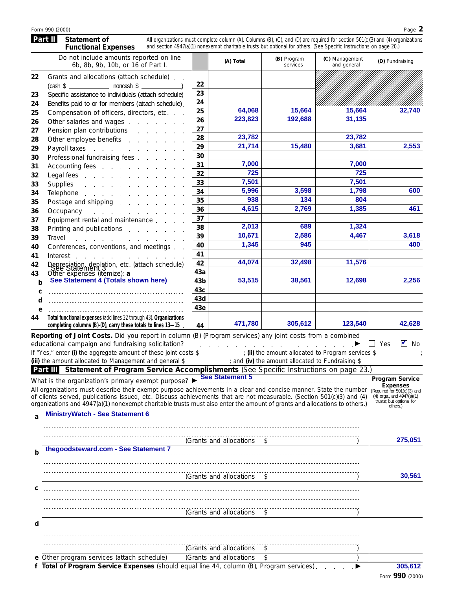#### **Part II** Statement of **Functional Expenses** All organizations must complete column (A). Columns (B), (C), and (D) are required for section 501(c)(3) and (4) organizations and section 4947(a)(1) nonexempt charitable trusts but optional for others. (See Specific Instructions on page 20.)

|    | Do not include amounts reported on line<br>6b, 8b, 9b, 10b, or 16 of Part I. |                 | (A) Total | (B) Program<br>services | (C) Management<br>and general | (D) Fundraising |
|----|------------------------------------------------------------------------------|-----------------|-----------|-------------------------|-------------------------------|-----------------|
| 22 | Grants and allocations (attach schedule).<br>$(cash $ \_$ noncash $$ \_$     | 22              |           |                         |                               |                 |
| 23 | Specific assistance to individuals (attach schedule)                         | 23              |           |                         |                               |                 |
| 24 | Benefits paid to or for members (attach schedule).                           | 24              |           |                         |                               |                 |
| 25 | Compensation of officers, directors, etc.                                    | 25              | 64,068    | 15,664                  | 15,664                        | 32,740          |
| 26 | Other salaries and wages                                                     | 26              | 223,823   | 192,688                 | 31,135                        |                 |
| 27 | Pension plan contributions                                                   | 27              |           |                         |                               |                 |
| 28 | Other employee benefits                                                      | 28              | 23,782    |                         | 23,782                        |                 |
| 29 | Payroll taxes                                                                | 29              | 21,714    | 15,480                  | 3,681                         | 2,553           |
| 30 | Professional fundraising fees                                                | 30              |           |                         |                               |                 |
| 31 | Accounting fees                                                              | 31              | 7,000     |                         | 7,000                         |                 |
| 32 |                                                                              | 32              | 725       |                         | 725                           |                 |
| 33 | Supplies<br>and the contract of the contract of                              | 33              | 7,501     |                         | 7,501                         |                 |
| 34 | Telephone                                                                    | 34              | 5,996     | 3,598                   | 1,798                         | 600             |
| 35 | Postage and shipping                                                         | 35              | 938       | 134                     | 804                           |                 |
| 36 | Occupancy<br>and a state of the state                                        | 36              | 4,615     | 2,769                   | 1,385                         | 461             |
| 37 | Equipment rental and maintenance                                             | 37              |           |                         |                               |                 |
| 38 | Printing and publications                                                    | 38              | 2,013     | 689                     | 1,324                         |                 |
| 39 | Travel<br>and the contract of the contract of the con-                       | 39              | 10,671    | 2,586                   | 4,467                         | 3,618           |
| 40 | Conferences, conventions, and meetings                                       | 40              | 1,345     | 945                     |                               | 400             |
| 41 | Interest                                                                     | 41              |           |                         |                               |                 |
| 42 | Depreciation depletion, etc. (attach schedule)                               | 42              | 44.074    | 32.498                  | 11,576                        |                 |
| 43 |                                                                              | 43a             |           |                         |                               |                 |
| b  |                                                                              | 43 <sub>b</sub> | 53,515    | 38,561                  | 12,698                        | 2,256           |
| C  |                                                                              | 43c             |           |                         |                               |                 |
| d  |                                                                              | 43d             |           |                         |                               |                 |
| e  |                                                                              | 43e             |           |                         |                               |                 |
| 44 | Total functional expenses (add lines 22 through 43). Organizations           |                 |           |                         |                               |                 |
|    | completing columns (B)-(D), carry these totals to lines 13-15.               | 44              | 471,780   | 305,612                 | 123,540                       | 42.628          |

If "Yes," enter (i) the aggregate amount of these joint costs \$ *iii* if if the amount allocated to Program services \$ *iii* the amount allocated to Fundraising \$ educational campaign and fundraising solicitation?<br>  $\blacksquare$  Yes  $\blacksquare$  No **Reporting of Joint Costs.** Did you report in column (B) (Program services) any joint costs from a combined educational campaign and fundraising solicitation? fiim and (iv) the amount allocated to Fundraising \$

|   | Part III Statement of Program Service Accomplishments (See Specific Instructions on page 23.)                                                                                                                                                                                                                                                                           |                                                                                                                         |
|---|-------------------------------------------------------------------------------------------------------------------------------------------------------------------------------------------------------------------------------------------------------------------------------------------------------------------------------------------------------------------------|-------------------------------------------------------------------------------------------------------------------------|
|   | What is the organization's primary exempt purpose? See Statement 5                                                                                                                                                                                                                                                                                                      | <b>Program Service</b>                                                                                                  |
|   | All organizations must describe their exempt purpose achievements in a clear and concise manner. State the number<br>of clients served, publications issued, etc. Discuss achievements that are not measurable. (Section 501(c)(3) and (4)<br>organizations and 4947(a)(1) nonexempt charitable trusts must also enter the amount of grants and allocations to others.) | <b>Expenses</b><br>(Required for 501(c)(3) and<br>$(4)$ orgs., and $4947(a)(1)$<br>trusts; but optional for<br>others.) |
|   | <b>MinistryWatch - See Statement 6</b>                                                                                                                                                                                                                                                                                                                                  |                                                                                                                         |
|   | (Grants and allocations<br>$^{\circ}$                                                                                                                                                                                                                                                                                                                                   | 275,051                                                                                                                 |
| h | thegoodsteward.com - See Statement 7                                                                                                                                                                                                                                                                                                                                    |                                                                                                                         |
|   | (Grants and allocations \$                                                                                                                                                                                                                                                                                                                                              | 30,561                                                                                                                  |
|   |                                                                                                                                                                                                                                                                                                                                                                         |                                                                                                                         |
|   | (Grants and allocations \$                                                                                                                                                                                                                                                                                                                                              |                                                                                                                         |
| d |                                                                                                                                                                                                                                                                                                                                                                         |                                                                                                                         |
|   | (Grants and allocations                                                                                                                                                                                                                                                                                                                                                 |                                                                                                                         |
|   | e Other program services (attach schedule)<br>(Grants and allocations                                                                                                                                                                                                                                                                                                   |                                                                                                                         |
|   | f Total of Program Service Expenses (should equal line 44, column (B), Program services).                                                                                                                                                                                                                                                                               | 305,612                                                                                                                 |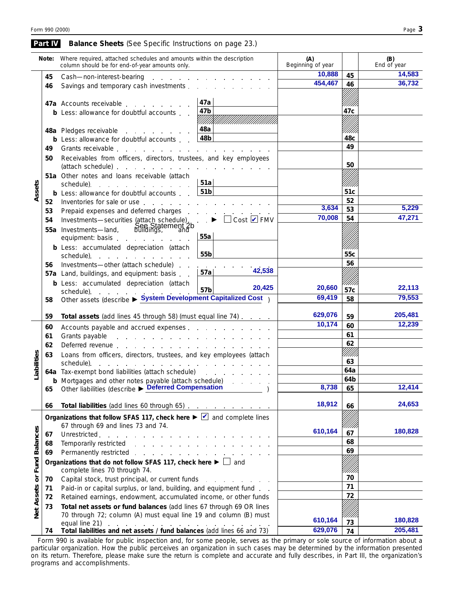|                             | Part IV | <b>Balance Sheets</b> (See Specific Instructions on page 23.)                                                                                                                                                                  |                                          |                                                |                          |                 |                    |
|-----------------------------|---------|--------------------------------------------------------------------------------------------------------------------------------------------------------------------------------------------------------------------------------|------------------------------------------|------------------------------------------------|--------------------------|-----------------|--------------------|
|                             | Note:   | Where required, attached schedules and amounts within the description<br>column should be for end-of-year amounts only.                                                                                                        |                                          |                                                | (A)<br>Beginning of year |                 | (B)<br>End of year |
|                             | 45      | Cash-non-interest-bearing                                                                                                                                                                                                      |                                          | and the state of the state of the state of the | 10,888                   | 45              | 14,583             |
|                             | 46      | Savings and temporary cash investments                                                                                                                                                                                         |                                          |                                                | 454,467                  | 46              | 36,732             |
|                             |         |                                                                                                                                                                                                                                | 47a                                      |                                                |                          |                 |                    |
|                             |         | 47a Accounts receivable                                                                                                                                                                                                        | 47b                                      |                                                |                          | 47c             |                    |
|                             |         | <b>b</b> Less: allowance for doubtful accounts                                                                                                                                                                                 | V/////XX                                 |                                                |                          |                 |                    |
|                             |         | 48a Pledges receivable                                                                                                                                                                                                         | 48a                                      |                                                |                          |                 |                    |
|                             |         | <b>b</b> Less: allowance for doubtful accounts.                                                                                                                                                                                | 48b                                      |                                                |                          | 48 <sub>C</sub> |                    |
|                             | 49      |                                                                                                                                                                                                                                |                                          |                                                |                          | 49              |                    |
|                             | 50      | Receivables from officers, directors, trustees, and key employees                                                                                                                                                              |                                          |                                                |                          |                 |                    |
|                             |         |                                                                                                                                                                                                                                |                                          |                                                |                          | 50              |                    |
|                             |         | 51a Other notes and loans receivable (attach                                                                                                                                                                                   |                                          |                                                |                          |                 |                    |
|                             |         | schedule).<br>the contract of the contract of the con-                                                                                                                                                                         | 51a                                      |                                                |                          |                 |                    |
| Assets                      |         | <b>b</b> Less: allowance for doubtful accounts                                                                                                                                                                                 | 51 <sub>b</sub>                          |                                                |                          | 51c             |                    |
|                             | 52      | Inventories for sale or use                                                                                                                                                                                                    |                                          |                                                | 3,634                    | 52              | 5,229              |
|                             | 53      | Prepaid expenses and deferred charges.                                                                                                                                                                                         |                                          | and a strain and a strain and a                |                          | 53              |                    |
|                             | 54      | Investments-securities (attach schedule).                                                                                                                                                                                      |                                          | $\cdot$ $\bullet$ $\Box$ Cost $\Box$ FMV       | 70,008                   | 54              | 47,271             |
|                             |         | See Statement 2b<br>55a Investments-land,                                                                                                                                                                                      | 55a                                      |                                                |                          |                 |                    |
|                             |         | equipment: basis                                                                                                                                                                                                               |                                          |                                                |                          |                 |                    |
|                             |         | <b>b</b> Less: accumulated depreciation (attach<br>schedule) expansion and the schedule of the set of the set of the set of the set of the set of the set of the                                                               | 55b                                      |                                                |                          | 55c             |                    |
|                             | 56      | Investments-other (attach schedule).                                                                                                                                                                                           |                                          |                                                |                          | 56              |                    |
|                             |         | 57a Land, buildings, and equipment: basis                                                                                                                                                                                      | <b>Contract Contract Contract</b><br>57a | 42,538                                         |                          |                 |                    |
|                             |         | <b>b</b> Less: accumulated depreciation (attach                                                                                                                                                                                |                                          |                                                |                          |                 |                    |
|                             |         |                                                                                                                                                                                                                                | 57b                                      | 20,425                                         | 20,660                   | 57c             | 22,113             |
|                             | 58      | schedule). $57b$<br>Other assets (describe ► System Development Capitalized Cost)                                                                                                                                              |                                          |                                                | 69,419                   | 58              | 79,553             |
|                             | 59      | Total assets (add lines 45 through 58) (must equal line 74)                                                                                                                                                                    |                                          |                                                | 629,076                  | 59              | 205,481            |
|                             | 60      | Accounts payable and accrued expenses                                                                                                                                                                                          |                                          |                                                | 10,174                   | 60              | 12,239             |
|                             | 61      | Grants payable research and the set of the set of the set of the set of the set of the set of the set of the set of the set of the set of the set of the set of the set of the set of the set of the set of the set of the set |                                          |                                                | 61                       |                 |                    |
|                             | 62      |                                                                                                                                                                                                                                |                                          |                                                | 62                       |                 |                    |
|                             | 63      | Loans from officers, directors, trustees, and key employees (attach                                                                                                                                                            |                                          |                                                |                          |                 |                    |
| abilities                   |         | schedule).<br>and the contract of the contract of the contract of the contract of                                                                                                                                              |                                          | 63                                             |                          |                 |                    |
|                             |         | 64a Tax-exempt bond liabilities (attach schedule)                                                                                                                                                                              |                                          | 64a                                            |                          |                 |                    |
| ⊐                           |         | <b>b</b> Mortgages and other notes payable (attach schedule)                                                                                                                                                                   |                                          |                                                | 64b                      |                 |                    |
|                             | 65      | Other liabilities (describe > Deferred Compensation                                                                                                                                                                            |                                          | 8,738                                          | 65                       | 12,414          |                    |
|                             | 66      | Total liabilities (add lines 60 through 65)                                                                                                                                                                                    | 18,912                                   | 66                                             | 24,653                   |                 |                    |
|                             |         | Organizations that follow SFAS 117, check here $\blacktriangleright \blacktriangleright \square$ and complete lines                                                                                                            |                                          |                                                |                          |                 |                    |
|                             |         | 67 through 69 and lines 73 and 74.                                                                                                                                                                                             |                                          |                                                |                          |                 | 180.828            |
|                             | 67      | Unrestricted.<br>and the company of the company                                                                                                                                                                                |                                          |                                                | 610,164                  | 67              |                    |
|                             | 68      | Temporarily restricted                                                                                                                                                                                                         |                                          |                                                |                          | 68              |                    |
|                             | 69      | Permanently restricted                                                                                                                                                                                                         |                                          |                                                |                          | 69              |                    |
| Net Assets or Fund Balances |         | Organizations that do not follow SFAS 117, check here $\blacktriangleright \Box$ and<br>complete lines 70 through 74.                                                                                                          |                                          | '////                                          |                          |                 |                    |
|                             | 70      | Capital stock, trust principal, or current funds                                                                                                                                                                               |                                          | the contract of the contract of                |                          | 70              |                    |
|                             | 71      | Paid-in or capital surplus, or land, building, and equipment fund                                                                                                                                                              |                                          |                                                |                          | 71              |                    |
|                             | 72      | Retained earnings, endowment, accumulated income, or other funds                                                                                                                                                               |                                          |                                                |                          | 72              |                    |
|                             | 73      | Total net assets or fund balances (add lines 67 through 69 OR lines                                                                                                                                                            |                                          |                                                |                          |                 |                    |
|                             |         | 70 through 72; column (A) must equal line 19 and column (B) must                                                                                                                                                               |                                          |                                                | 610,164                  |                 | 180,828            |
|                             | 74      | equal line 21)<br>Total liabilities and net assets / fund balances (add lines 66 and 73)                                                                                                                                       |                                          |                                                | 629,076                  | 73<br>74        | 205,481            |
|                             |         |                                                                                                                                                                                                                                |                                          |                                                |                          |                 |                    |

Form 990 is available for public inspection and, for some people, serves as the primary or sole source of information about a particular organization. How the public perceives an organization in such cases may be determined by the information presented on its return. Therefore, please make sure the return is complete and accurate and fully describes, in Part III, the organization's programs and accomplishments.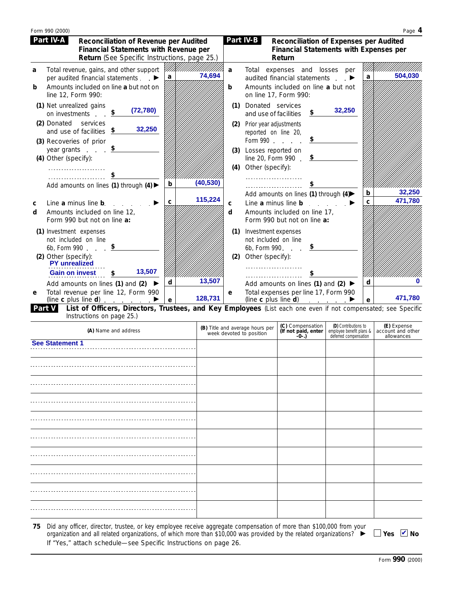|        | Form 990 (2000)                                                                                    |                                              |        |                                                                                                                                      |                          |   | Page 4  |
|--------|----------------------------------------------------------------------------------------------------|----------------------------------------------|--------|--------------------------------------------------------------------------------------------------------------------------------------|--------------------------|---|---------|
|        | Part IV-A<br>Reconciliation of Revenue per Audited<br><b>Financial Statements with Revenue per</b> | Return (See Specific Instructions, page 25.) |        | Part IV-B<br>Reconciliation of Expenses per Audited<br><b>Financial Statements with Expenses per</b><br>Return                       |                          |   |         |
| a      | Total revenue, gains, and other support<br>per audited financial statements. ▶                     | 74,694<br>a                                  | a      | Total expenses and losses per<br>audited financial statements                                                                        | $\overline{\phantom{a}}$ | a | 504,030 |
| b      | Amounts included on line a but not on<br>line 12, Form 990:                                        |                                              | b      | Amounts included on line a but not<br>on line 17, Form 990:                                                                          |                          |   |         |
|        | (1) Net unrealized gains<br>(72, 780)<br>on investments.                                           |                                              | (1)    | Donated services<br>\$<br>and use of facilities                                                                                      | 32,250                   |   |         |
|        | (2) Donated<br>services<br>and use of facilities $\frac{\$}{}$                                     | 32,250                                       | (2)    | Prior year adjustments<br>reported on line 20,                                                                                       |                          |   |         |
|        | (3) Recoveries of prior<br>year grants                                                             |                                              | (3)    | Form 990<br>Losses reported on<br>\$                                                                                                 |                          |   |         |
|        | (4) Other (specify):<br><u>.</u>                                                                   |                                              | (4)    | line 20, Form 990.<br>Other (specify):<br>.                                                                                          |                          |   |         |
|        | Add amounts on lines (1) through $(4)$                                                             | (40, 530)<br>b                               |        |                                                                                                                                      |                          | b | 32,250  |
| C<br>d | Line a minus line b.<br>Amounts included on line 12,<br>Form 990 but not on line a:                | 115,224<br>C                                 | C<br>d | Add amounts on lines (1) through (4)<br>Line a minus line $\mathbf b$<br>Amounts included on line 17,<br>Form 990 but not on line a: |                          | c | 471,780 |
|        | (1) Investment expenses<br>not included on line<br>6b, Form 990                                    |                                              | (1)    | Investment expenses<br>not included on line<br>6b, Form 990.                                                                         |                          |   |         |
|        | (2) Other (specify):<br><b>PY</b> unrealized<br><b>Gain on invest</b>                              | 13,507                                       | (2)    | Other (specify):                                                                                                                     |                          |   |         |
|        | Add amounts on lines (1) and (2)                                                                   | 13,507<br>d                                  |        | Add amounts on lines (1) and (2) ▶                                                                                                   |                          | d |         |
| e      | Total revenue per line 12, Form 990<br>(line c plus line d) $\qquad \qquad$                        | 128,731<br>e                                 | e      | Total expenses per line 17, Form 990<br>(line $c$ plus line $d$ ) $\qquad \qquad \qquad$                                             |                          | e | 471,780 |

**List of Officers, Directors, Trustees, and Key Employees** (List each one even if not compensated; see Specific Instructions on page 25.) **Part V**

| (A) Name and address | (B) Title and average hours per<br>week devoted to position | (C) Compensation<br>(If not paid, enter<br>-0-.) | (D) Contributions to<br>employee benefit plans &<br>deferred compensation | (E) Expense<br>account and other<br>allowances |
|----------------------|-------------------------------------------------------------|--------------------------------------------------|---------------------------------------------------------------------------|------------------------------------------------|
| See Statement 1      |                                                             |                                                  |                                                                           |                                                |
|                      |                                                             |                                                  |                                                                           |                                                |
|                      |                                                             |                                                  |                                                                           |                                                |
|                      |                                                             |                                                  |                                                                           |                                                |
|                      |                                                             |                                                  |                                                                           |                                                |
|                      |                                                             |                                                  |                                                                           |                                                |
|                      |                                                             |                                                  |                                                                           |                                                |
|                      |                                                             |                                                  |                                                                           |                                                |
|                      |                                                             |                                                  |                                                                           |                                                |
|                      |                                                             |                                                  |                                                                           |                                                |

Did any officer, director, trustee, or key employee receive aggregate compensation of more than \$100,000 from your organization and all related organizations, of which more than \$10,000 was provided by the related organizations? If "Yes," attach schedule—see Specific Instructions on page 26. **75**

Yes **■**No

Form **990** (2000)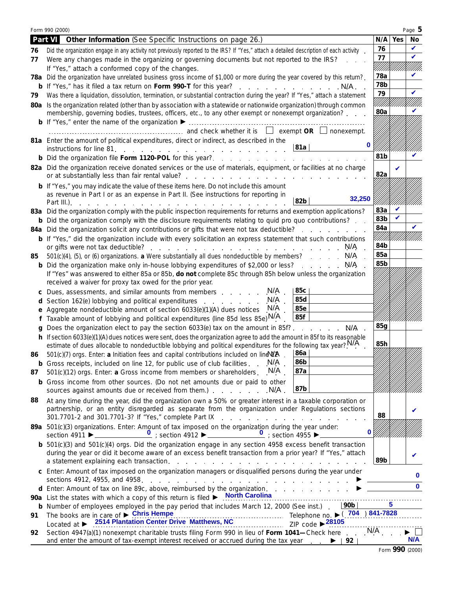|    | Form 990 (2000)                                                                                                                                                                                                                                                                                                                                                               |            |     | Page 5   |  |  |
|----|-------------------------------------------------------------------------------------------------------------------------------------------------------------------------------------------------------------------------------------------------------------------------------------------------------------------------------------------------------------------------------|------------|-----|----------|--|--|
|    | Part VI Other Information (See Specific Instructions on page 26.)                                                                                                                                                                                                                                                                                                             | N/A        | Yes | No       |  |  |
| 76 | Did the organization engage in any activity not previously reported to the IRS? If "Yes," attach a detailed description of each activity                                                                                                                                                                                                                                      | 76         |     | V        |  |  |
| 77 | Were any changes made in the organizing or governing documents but not reported to the IRS?                                                                                                                                                                                                                                                                                   | 77         |     | ✓        |  |  |
|    | If "Yes," attach a conformed copy of the changes.                                                                                                                                                                                                                                                                                                                             | 78a        |     | V        |  |  |
|    | 78a Did the organization have unrelated business gross income of \$1,000 or more during the year covered by this return?.<br>b If "Yes," has it filed a tax return on Form 990-T for this year? N/A.                                                                                                                                                                          | 78b        |     |          |  |  |
| 79 | Was there a liquidation, dissolution, termination, or substantial contraction during the year? If "Yes," attach a statement                                                                                                                                                                                                                                                   |            |     |          |  |  |
|    | 80a Is the organization related (other than by association with a statewide or nationwide organization) through common                                                                                                                                                                                                                                                        | 79         |     |          |  |  |
|    | membership, governing bodies, trustees, officers, etc., to any other exempt or nonexempt organization?                                                                                                                                                                                                                                                                        | 80a        |     |          |  |  |
|    |                                                                                                                                                                                                                                                                                                                                                                               |            |     |          |  |  |
|    |                                                                                                                                                                                                                                                                                                                                                                               |            |     |          |  |  |
|    | 81a Enter the amount of political expenditures, direct or indirect, as described in the<br>$\bf{0}$                                                                                                                                                                                                                                                                           |            |     |          |  |  |
|    | 81a<br>instructions for line 81                                                                                                                                                                                                                                                                                                                                               | 81b        |     | V        |  |  |
|    |                                                                                                                                                                                                                                                                                                                                                                               |            |     |          |  |  |
|    | 82a Did the organization receive donated services or the use of materials, equipment, or facilities at no charge<br>or at substantially less than fair rental value?.<br>and a straight and a straight and                                                                                                                                                                    | 82a        |     |          |  |  |
|    | <b>b</b> If "Yes," you may indicate the value of these items here. Do not include this amount                                                                                                                                                                                                                                                                                 |            |     |          |  |  |
|    | as revenue in Part I or as an expense in Part II. (See instructions for reporting in<br>32,250<br>82b<br>Part III.).                                                                                                                                                                                                                                                          |            |     |          |  |  |
|    | 83a Did the organization comply with the public inspection requirements for returns and exemption applications?                                                                                                                                                                                                                                                               | 83a        |     |          |  |  |
|    | <b>b</b> Did the organization comply with the disclosure requirements relating to quid pro quo contributions?                                                                                                                                                                                                                                                                 | 83b        |     |          |  |  |
|    | 84a Did the organization solicit any contributions or gifts that were not tax deductible?                                                                                                                                                                                                                                                                                     | 84a        |     |          |  |  |
|    | <b>b</b> If "Yes," did the organization include with every solicitation an express statement that such contributions                                                                                                                                                                                                                                                          |            |     |          |  |  |
|    | N/A                                                                                                                                                                                                                                                                                                                                                                           | 84b<br>85a |     |          |  |  |
| 85 | 501(c)(4), (5), or (6) organizations. a Were substantially all dues nondeductible by members? N/A<br><b>b</b> Did the organization make only in-house lobbying expenditures of \$2,000 or less? N/A                                                                                                                                                                           | 85b        |     |          |  |  |
|    | If "Yes" was answered to either 85a or 85b, do not complete 85c through 85h below unless the organization                                                                                                                                                                                                                                                                     |            |     |          |  |  |
|    | received a waiver for proxy tax owed for the prior year.                                                                                                                                                                                                                                                                                                                      |            |     |          |  |  |
|    | N/A<br>85c<br>c Dues, assessments, and similar amounts from members                                                                                                                                                                                                                                                                                                           |            |     |          |  |  |
|    | 85d<br>N/A<br>d Section 162(e) lobbying and political expenditures<br>N/A<br>85e                                                                                                                                                                                                                                                                                              |            |     |          |  |  |
| е  | Aggregate nondeductible amount of section 6033(e)(1)(A) dues notices<br>85f                                                                                                                                                                                                                                                                                                   |            |     |          |  |  |
|    | f Taxable amount of lobbying and political expenditures (line 85d less 85e) $N/A$<br>g Does the organization elect to pay the section 6033(e) tax on the amount in 85f?<br>N/A.                                                                                                                                                                                               | 85q        |     |          |  |  |
|    | h If section 6033(e)(1)(A) dues notices were sent, does the organization agree to add the amount in 85f to its reasonable                                                                                                                                                                                                                                                     |            |     |          |  |  |
|    | estimate of dues allocable to nondeductible lobbying and political expenditures for the following tax year? <sup>N/A</sup>                                                                                                                                                                                                                                                    | 85h        |     |          |  |  |
| 86 | 86a<br>501(c)(7) orgs. Enter: a Initiation fees and capital contributions included on line $W$ <sup><math>A</math></sup> .                                                                                                                                                                                                                                                    |            |     |          |  |  |
|    | 86b<br>N/A<br><b>b</b> Gross receipts, included on line 12, for public use of club facilities.                                                                                                                                                                                                                                                                                |            |     |          |  |  |
| 87 | 87a<br>$501(c)(12)$ orgs. Enter: a Gross income from members or shareholders. $N/A$ .                                                                                                                                                                                                                                                                                         |            |     |          |  |  |
|    | b Gross income from other sources. (Do not net amounts due or paid to other<br>87b<br>sources against amounts due or received from them.)<br>. N/A .                                                                                                                                                                                                                          |            |     |          |  |  |
| 88 | At any time during the year, did the organization own a 50% or greater interest in a taxable corporation or<br>partnership, or an entity disregarded as separate from the organization under Regulations sections                                                                                                                                                             | 88         |     |          |  |  |
|    | 301.7701-2 and 301.7701-3? If "Yes," complete Part IX<br>the contract of the contract of the contract of the contract of the contract of the contract of the contract of<br>89a 501(c)(3) organizations. Enter: Amount of tax imposed on the organization during the year under:<br>$\bf{0}$                                                                                  |            |     |          |  |  |
|    | $\frac{0}{2}$ ; section 4955 $\blacktriangleright$ _____<br><b>b</b> $501(c)(3)$ and $501(c)(4)$ orgs. Did the organization engage in any section 4958 excess benefit transaction                                                                                                                                                                                             |            |     |          |  |  |
|    | during the year or did it become aware of an excess benefit transaction from a prior year? If "Yes," attach<br>a statement explaining each transaction.<br>the contract of the contract of the contract of the contract of the contract of the contract of the contract of                                                                                                    | 89b        |     |          |  |  |
|    | c Enter: Amount of tax imposed on the organization managers or disqualified persons during the year under<br>sections 4912, 4955, and 4958.<br>and the company of the company of the company of the company of the company of the company of the company of the company of the company of the company of the company of the company of the company of the company of the comp |            |     | $\bf{0}$ |  |  |
|    | d Enter: Amount of tax on line 89c, above, reimbursed by the organization.                                                                                                                                                                                                                                                                                                    |            |     | $\bf{0}$ |  |  |
|    | 90a List the states with which a copy of this return is filed > North Carolina                                                                                                                                                                                                                                                                                                |            |     |          |  |  |
|    | 90b<br>b Number of employees employed in the pay period that includes March 12, 2000 (See inst.).                                                                                                                                                                                                                                                                             |            | 5   |          |  |  |
| 91 | Telephone no. ▶ (704) 841-7828<br>The books are in care of $\triangleright$ Chris Hempe<br>ZIP code $\triangleright$ 28105<br>Located at $\blacktriangleright$                                                                                                                                                                                                                |            |     |          |  |  |
| 92 | Section 4947(a)(1) nonexempt charitable trusts filing Form 990 in lieu of Form 1041-Check here $\ldots$ N/A                                                                                                                                                                                                                                                                   |            |     |          |  |  |
|    | and enter the amount of tax-exempt interest received or accrued during the tax year $\blacktriangleright$   92                                                                                                                                                                                                                                                                |            |     | N/A      |  |  |

Form **990** (2000)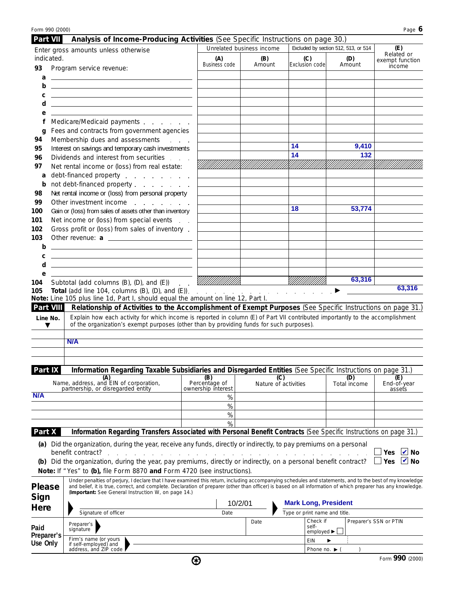| Form 990 (2000)    |                                                                                                                                                                                                                                                                                                                                                                                 |                                                |                             |                                                            |                                      | Page 6                                       |
|--------------------|---------------------------------------------------------------------------------------------------------------------------------------------------------------------------------------------------------------------------------------------------------------------------------------------------------------------------------------------------------------------------------|------------------------------------------------|-----------------------------|------------------------------------------------------------|--------------------------------------|----------------------------------------------|
| Part VII           | Analysis of Income-Producing Activities (See Specific Instructions on page 30.)                                                                                                                                                                                                                                                                                                 |                                                | Unrelated business income   |                                                            | Excluded by section 512, 513, or 514 | (E)                                          |
| indicated.         | Enter gross amounts unless otherwise                                                                                                                                                                                                                                                                                                                                            | (A)<br>Business code                           | (B)<br>Amount               | (C)<br>Exclusion code                                      | (D)<br>Amount                        | Related or<br>exempt function<br>income      |
| 93                 | Program service revenue:                                                                                                                                                                                                                                                                                                                                                        |                                                |                             |                                                            |                                      |                                              |
| а<br>b             | <u> 1989 - Andrea Stadt Britain, amerikansk politiker (</u>                                                                                                                                                                                                                                                                                                                     |                                                |                             |                                                            |                                      |                                              |
| С                  |                                                                                                                                                                                                                                                                                                                                                                                 |                                                |                             |                                                            |                                      |                                              |
| d                  | <u> 1980 - Johann Barn, amerikansk politiker (d. 1980)</u>                                                                                                                                                                                                                                                                                                                      |                                                |                             |                                                            |                                      |                                              |
| е                  |                                                                                                                                                                                                                                                                                                                                                                                 |                                                |                             |                                                            |                                      |                                              |
| f                  | Medicare/Medicaid payments                                                                                                                                                                                                                                                                                                                                                      |                                                |                             |                                                            |                                      |                                              |
| q<br>94            | Fees and contracts from government agencies<br>Membership dues and assessments<br>$\Delta \sim 10^{-1}$ .                                                                                                                                                                                                                                                                       |                                                |                             |                                                            |                                      |                                              |
| 95                 | Interest on savings and temporary cash investments                                                                                                                                                                                                                                                                                                                              |                                                |                             | 14                                                         | 9,410                                |                                              |
| 96                 | Dividends and interest from securities                                                                                                                                                                                                                                                                                                                                          |                                                |                             | 14                                                         | 132                                  |                                              |
| 97                 | Net rental income or (loss) from real estate:                                                                                                                                                                                                                                                                                                                                   |                                                |                             |                                                            |                                      |                                              |
| a                  | debt-financed property entitled and the state of the state of the state of the state of the state of the state                                                                                                                                                                                                                                                                  |                                                |                             |                                                            |                                      |                                              |
| b                  | not debt-financed property                                                                                                                                                                                                                                                                                                                                                      |                                                |                             |                                                            |                                      |                                              |
| 98<br>99           | Net rental income or (loss) from personal property<br>Other investment income entitled to the control of the control of the control of the control of the control of                                                                                                                                                                                                            |                                                |                             |                                                            |                                      |                                              |
| 100                | Gain or (loss) from sales of assets other than inventory                                                                                                                                                                                                                                                                                                                        |                                                |                             | 18                                                         | 53,774                               |                                              |
| 101                | Net income or (loss) from special events                                                                                                                                                                                                                                                                                                                                        |                                                |                             |                                                            |                                      |                                              |
| 102                | Gross profit or (loss) from sales of inventory.                                                                                                                                                                                                                                                                                                                                 |                                                |                             |                                                            |                                      |                                              |
| 103                |                                                                                                                                                                                                                                                                                                                                                                                 |                                                |                             |                                                            |                                      |                                              |
| b<br>c             | <u> 1989 - Johann John Stone, markin f</u><br><u>state and the state of the state of the state of the state of the state of the state of the state of the state of the state of the state of the state of the state of the state of the state of the state of the state of the</u>                                                                                              |                                                |                             |                                                            |                                      |                                              |
| d                  | <u> 1989 - Johann Barn, mars ann an t-Amhain Aonaich an t-Aonaich an t-Aonaich an t-Aonaich an t-Aonaich ann an t-</u>                                                                                                                                                                                                                                                          |                                                |                             |                                                            |                                      |                                              |
| е                  |                                                                                                                                                                                                                                                                                                                                                                                 |                                                |                             |                                                            |                                      |                                              |
| 104                | Subtotal (add columns (B), (D), and (E))                                                                                                                                                                                                                                                                                                                                        | <u> УНИШИИ Х</u><br>$\mathcal{L}^{\text{max}}$ |                             |                                                            | 63,316                               |                                              |
| 105                | <b>Total</b> (add line 104, columns (B), (D), and (E)). $\cdots$ $\cdots$ $\cdots$ $\cdots$ $\cdots$ $\cdots$<br>Note: Line 105 plus line 1d, Part I, should equal the amount on line 12, Part I.                                                                                                                                                                               |                                                |                             |                                                            |                                      | 63,316                                       |
| Part VIII          | Relationship of Activities to the Accomplishment of Exempt Purposes (See Specific Instructions on page 31.)                                                                                                                                                                                                                                                                     |                                                |                             |                                                            |                                      |                                              |
| Line No.<br>▼      | Explain how each activity for which income is reported in column (E) of Part VII contributed importantly to the accomplishment<br>of the organization's exempt purposes (other than by providing funds for such purposes).<br>N/A                                                                                                                                               |                                                |                             |                                                            |                                      |                                              |
|                    |                                                                                                                                                                                                                                                                                                                                                                                 |                                                |                             |                                                            |                                      |                                              |
| Part IX            | Information Regarding Taxable Subsidiaries and Disregarded Entities (See Specific Instructions on page 31.)                                                                                                                                                                                                                                                                     |                                                |                             |                                                            |                                      |                                              |
|                    | (A)<br>Name, address, and EIN of corporation,<br>partnership, or disregarded entity                                                                                                                                                                                                                                                                                             | (B)<br>Percentage of<br>ownership interest     | (C)<br>Nature of activities |                                                            | (D)<br>Total income                  | (E)<br>End-of-year<br>assets                 |
| N/A                |                                                                                                                                                                                                                                                                                                                                                                                 | %<br>%                                         |                             |                                                            |                                      |                                              |
|                    |                                                                                                                                                                                                                                                                                                                                                                                 | %                                              |                             |                                                            |                                      |                                              |
|                    |                                                                                                                                                                                                                                                                                                                                                                                 | %                                              |                             |                                                            |                                      |                                              |
| Part X             | Information Regarding Transfers Associated with Personal Benefit Contracts (See Specific Instructions on page 31.)                                                                                                                                                                                                                                                              |                                                |                             |                                                            |                                      |                                              |
|                    | (a) Did the organization, during the year, receive any funds, directly or indirectly, to pay premiums on a personal<br>(b) Did the organization, during the year, pay premiums, directly or indirectly, on a personal benefit contract?                                                                                                                                         |                                                |                             |                                                            |                                      | Yes<br>$\vee$ No<br>$\blacksquare$ No<br>Yes |
|                    | Note: If "Yes" to (b), file Form 8870 and Form 4720 (see instructions).                                                                                                                                                                                                                                                                                                         |                                                |                             |                                                            |                                      |                                              |
| <b>Please</b>      | Under penalties of perjury, I declare that I have examined this return, including accompanying schedules and statements, and to the best of my knowledge<br>and belief, it is true, correct, and complete. Declaration of preparer (other than officer) is based on all information of which preparer has any knowledge.<br>(Important: See General Instruction W, on page 14.) |                                                |                             |                                                            |                                      |                                              |
| Sign               |                                                                                                                                                                                                                                                                                                                                                                                 |                                                | 10/2/01                     | <b>Mark Long, President</b>                                |                                      |                                              |
| Here               | Signature of officer                                                                                                                                                                                                                                                                                                                                                            | Date                                           |                             | Type or print name and title.                              |                                      |                                              |
| Paid<br>Preparer's | Preparer's<br>signature                                                                                                                                                                                                                                                                                                                                                         |                                                | Date                        | Check if<br>self-<br>employed $\blacktriangleright$ $\Box$ |                                      | Preparer's SSN or PTIN                       |
| Use Only           | Firm's name (or yours<br>if self-employed) and                                                                                                                                                                                                                                                                                                                                  |                                                |                             | <b>EIN</b>                                                 |                                      |                                              |
|                    | address, and ZIP code                                                                                                                                                                                                                                                                                                                                                           |                                                |                             | Phone no. $\blacktriangleright$                            |                                      |                                              |
|                    |                                                                                                                                                                                                                                                                                                                                                                                 | ⊛                                              |                             |                                                            |                                      | Form 990 (2000)                              |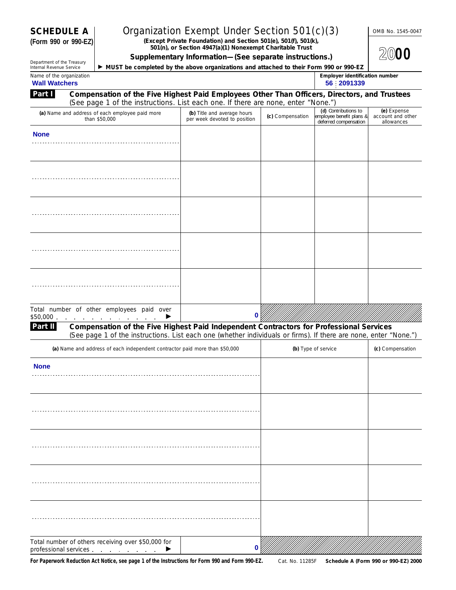**(Form 990 or 990-EZ)**

### **SCHEDULE A** | Organization Exempt Under Section 501(c)(3) LOMB No. 1545-0047

**(Except Private Foundation) and Section 501(e), 501(f), 501(k), 501(n), or Section 4947(a)(1) Nonexempt Charitable Trust**

| 2000 |
|------|
|      |

Department of the Treasury<br>Internal Revenue Service

**Part I**

| Supplementary Information-(See separate instructions.)                                  |
|-----------------------------------------------------------------------------------------|
| • MUST be completed by the above organizations and attached to their Form 990 or 990-EZ |

| Name of the organization | Employer identification number |
|--------------------------|--------------------------------|
| <b>Wall Watchers</b>     | 2091339<br>56                  |

Compensation of the Five Highest Paid Employees Other Than Officers, Directors, and Trustees **Wall Watchers 56 2091339**

| (See page 1 of the instructions. List each one. If there are none, enter "None.")                                                                               |                                                             |                  |                                                                           |                                                |
|-----------------------------------------------------------------------------------------------------------------------------------------------------------------|-------------------------------------------------------------|------------------|---------------------------------------------------------------------------|------------------------------------------------|
| (a) Name and address of each employee paid more<br>than \$50,000                                                                                                | (b) Title and average hours<br>per week devoted to position | (c) Compensation | (d) Contributions to<br>employee benefit plans &<br>deferred compensation | (e) Expense<br>account and other<br>allowances |
| <b>None</b>                                                                                                                                                     |                                                             |                  |                                                                           |                                                |
|                                                                                                                                                                 |                                                             |                  |                                                                           |                                                |
|                                                                                                                                                                 |                                                             |                  |                                                                           |                                                |
|                                                                                                                                                                 |                                                             |                  |                                                                           |                                                |
|                                                                                                                                                                 |                                                             |                  |                                                                           |                                                |
|                                                                                                                                                                 |                                                             |                  |                                                                           |                                                |
|                                                                                                                                                                 |                                                             |                  |                                                                           |                                                |
|                                                                                                                                                                 |                                                             |                  |                                                                           |                                                |
|                                                                                                                                                                 |                                                             |                  |                                                                           |                                                |
| Total number of other employees paid over                                                                                                                       |                                                             |                  |                                                                           |                                                |
| \$50,000 $\cdots$ $\cdots$ $\cdots$ $\cdots$ $\cdots$<br><b>Dart II. Companestion of the Five Highest Deid Independent Contractors for Drefessional Comises</b> | 0                                                           |                  |                                                                           |                                                |

**Compensation of the Five Highest Paid Independent Contractors for Professional Services** (See page 1 of the instructions. List each one (whether individuals or firms). If there are none, enter "None.") **Part II**

| (a) Name and address of each independent contractor paid more than \$50,000                                      | (b) Type of service | (c) Compensation |
|------------------------------------------------------------------------------------------------------------------|---------------------|------------------|
| <b>None</b>                                                                                                      |                     |                  |
|                                                                                                                  |                     |                  |
|                                                                                                                  |                     |                  |
|                                                                                                                  |                     |                  |
|                                                                                                                  |                     |                  |
| Total number of others receiving over \$50,000 for<br>professional services $\qquad \qquad$ $\qquad \qquad$<br>0 |                     |                  |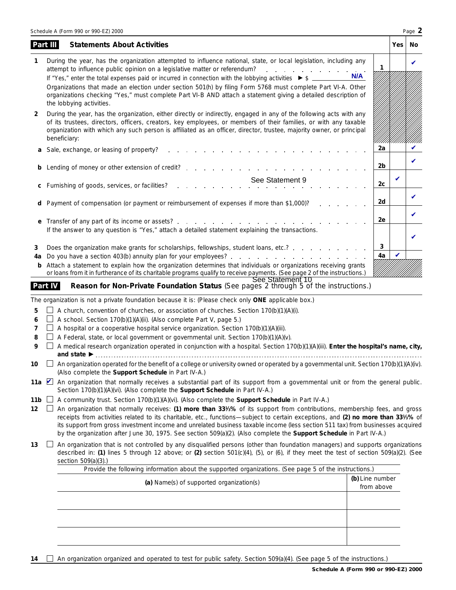|                                | Schedule A (Form 990 or 990-EZ) 2000                                                                                                                                                                                                                                                                                                                                                                                                                                                                                                                                                                                                                                                                                                                                                                                                                         |    |              | Page 2 |  |  |  |
|--------------------------------|--------------------------------------------------------------------------------------------------------------------------------------------------------------------------------------------------------------------------------------------------------------------------------------------------------------------------------------------------------------------------------------------------------------------------------------------------------------------------------------------------------------------------------------------------------------------------------------------------------------------------------------------------------------------------------------------------------------------------------------------------------------------------------------------------------------------------------------------------------------|----|--------------|--------|--|--|--|
|                                | Part III<br><b>Statements About Activities</b>                                                                                                                                                                                                                                                                                                                                                                                                                                                                                                                                                                                                                                                                                                                                                                                                               |    | Yes          | No     |  |  |  |
| 1                              | During the year, has the organization attempted to influence national, state, or local legislation, including any<br>attempt to influence public opinion on a legislative matter or referendum?<br>N/A<br>If "Yes," enter the total expenses paid or incurred in connection with the lobbying activities ▶ \$ __<br>Organizations that made an election under section 501(h) by filing Form 5768 must complete Part VI-A. Other<br>organizations checking "Yes," must complete Part VI-B AND attach a statement giving a detailed description of                                                                                                                                                                                                                                                                                                             | 1  |              | ✓      |  |  |  |
| 2                              | the lobbying activities.<br>During the year, has the organization, either directly or indirectly, engaged in any of the following acts with any<br>of its trustees, directors, officers, creators, key employees, or members of their families, or with any taxable<br>organization with which any such person is affiliated as an officer, director, trustee, majority owner, or principal<br>beneficiary:                                                                                                                                                                                                                                                                                                                                                                                                                                                  |    |              |        |  |  |  |
| а                              | Sale, exchange, or leasing of property?<br>the contract of the contract of the contract of                                                                                                                                                                                                                                                                                                                                                                                                                                                                                                                                                                                                                                                                                                                                                                   | 2a |              |        |  |  |  |
| b                              | Lending of money or other extension of credit?                                                                                                                                                                                                                                                                                                                                                                                                                                                                                                                                                                                                                                                                                                                                                                                                               | 2b |              | V      |  |  |  |
| С                              | See Statement 9<br>Furnishing of goods, services, or facilities?                                                                                                                                                                                                                                                                                                                                                                                                                                                                                                                                                                                                                                                                                                                                                                                             | 2с | $\checkmark$ |        |  |  |  |
|                                | Payment of compensation (or payment or reimbursement of expenses if more than \$1,000)?                                                                                                                                                                                                                                                                                                                                                                                                                                                                                                                                                                                                                                                                                                                                                                      | 2d |              | V      |  |  |  |
| е                              |                                                                                                                                                                                                                                                                                                                                                                                                                                                                                                                                                                                                                                                                                                                                                                                                                                                              | 2e |              | ✓      |  |  |  |
| 3                              | If the answer to any question is "Yes," attach a detailed statement explaining the transactions.<br>Does the organization make grants for scholarships, fellowships, student loans, etc.?                                                                                                                                                                                                                                                                                                                                                                                                                                                                                                                                                                                                                                                                    | 3  |              |        |  |  |  |
| 4a<br>b                        | Attach a statement to explain how the organization determines that individuals or organizations receiving grants<br>or loans from it in furtherance of its charitable programs qualify to receive payments. (See page 2 of the instructions.)                                                                                                                                                                                                                                                                                                                                                                                                                                                                                                                                                                                                                | 4a |              |        |  |  |  |
|                                | See Statement 10<br>Part IV<br>Reason for Non-Private Foundation Status (See pages 2 through 5 of the instructions.)                                                                                                                                                                                                                                                                                                                                                                                                                                                                                                                                                                                                                                                                                                                                         |    |              |        |  |  |  |
| 5<br>6<br>7<br>8<br>9          | The organization is not a private foundation because it is: (Please check only ONE applicable box.)<br>A church, convention of churches, or association of churches. Section 170(b)(1)(A)(i).<br>A school. Section 170(b)(1)(A)(ii). (Also complete Part V, page 5.)<br>A hospital or a cooperative hospital service organization. Section 170(b)(1)(A)(iii).<br>A Federal, state, or local government or governmental unit. Section 170(b)(1)(A)(v).<br>A medical research organization operated in conjunction with a hospital. Section 170(b)(1)(A)(iii). Enter the hospital's name, city,                                                                                                                                                                                                                                                                |    |              |        |  |  |  |
| 10                             | $\Box$ An organization operated for the benefit of a college or university owned or operated by a governmental unit. Section 170(b)(1)(A)(iv).<br>(Also complete the Support Schedule in Part IV-A.)                                                                                                                                                                                                                                                                                                                                                                                                                                                                                                                                                                                                                                                         |    |              |        |  |  |  |
| 11b $\Box$<br>12 <sup>12</sup> | 11a An organization that normally receives a substantial part of its support from a governmental unit or from the general public.<br>Section 170(b)(1)(A)(vi). (Also complete the Support Schedule in Part IV-A.)<br>A community trust. Section 170(b)(1)(A)(vi). (Also complete the Support Schedule in Part IV-A.)<br>An organization that normally receives: (1) more than 331/ <sub>3</sub> % of its support from contributions, membership fees, and gross<br>receipts from activities related to its charitable, etc., functions—subject to certain exceptions, and (2) no more than 331/3% of<br>its support from gross investment income and unrelated business taxable income (less section 511 tax) from businesses acquired<br>by the organization after June 30, 1975. See section 509(a)(2). (Also complete the Support Schedule in Part IV-A.) |    |              |        |  |  |  |
| 13                             | An organization that is not controlled by any disqualified persons (other than foundation managers) and supports organizations<br>$\Box$<br>described in: (1) lines 5 through 12 above; or (2) section $501(c)(4)$ , (5), or (6), if they meet the test of section $509(a)(2)$ . (See<br>section 509(a)(3).)<br>Provide the following information about the supported organizations. (See page 5 of the instructions.)                                                                                                                                                                                                                                                                                                                                                                                                                                       |    |              |        |  |  |  |
|                                |                                                                                                                                                                                                                                                                                                                                                                                                                                                                                                                                                                                                                                                                                                                                                                                                                                                              |    |              |        |  |  |  |

| The mac the remember members about the supported eigenizations. (See page of the instructions, |                               |  |  |  |
|------------------------------------------------------------------------------------------------|-------------------------------|--|--|--|
| (a) Name(s) of supported organization(s)                                                       | (b) Line number<br>from above |  |  |  |
|                                                                                                |                               |  |  |  |
|                                                                                                |                               |  |  |  |
|                                                                                                |                               |  |  |  |
|                                                                                                |                               |  |  |  |
|                                                                                                |                               |  |  |  |
|                                                                                                |                               |  |  |  |
|                                                                                                |                               |  |  |  |

14  $\Box$  An organization organized and operated to test for public safety. Section 509(a)(4). (See page 5 of the instructions.)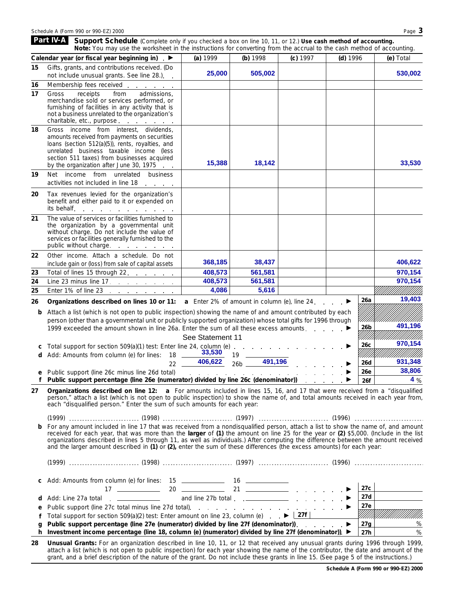Schedule A (Form 990 or 990-EZ) 2000 Page 3 **Part IV-A** Support Schedule (Complete only if you checked a box on line 10, 11, or 12.) Use cash method of accounting. **Note:** *You may use the worksheet in the instructions for converting from the accrual to the cash method of accounting.* **Calendar year (or fiscal year beginning in) (a)** 1999 **(b)** 1998 **(c)** 1997 **(d)** 1996 **(e)** Total **15** Gifts, grants, and contributions received. (Do 25,000 505,002 505,000 **530,002** not include unusual grants. See line 28.) **16** Membership fees received . . **17** Gross receipts from admissions, merchandise sold or services performed, or furnishing of facilities in any activity that is not a business unrelated to the organization's charitable, etc., purpose **18** Gross income from interest, dividends, amounts received from payments on securities loans (section 512(a)(5)), rents, royalties, and unrelated business taxable income (less section 511 taxes) from businesses acquired 15,388 18,142 **18,142** 33,530 by the organization after June 30, 1975 **19** Net income from unrelated business activities not included in line 18 **20** Tax revenues levied for the organization's benefit and either paid to it or expended on its behalf **21** The value of services or facilities furnished to the organization by a governmental unit without charge. Do not include the value of services or facilities generally furnished to the public without charge. . . . . . . . . **22** Other income. Attach a schedule. Do not **368,185 38,437 406,622** include gain or (loss) from sale of capital assets **23** Total of lines 15 through 22 408,573 561,581 561,581 561,581 561,581 **970,154 24** Line 23 minus line 17 408,573 561,581 561,581 561,581 561,581 **970,154 4,086 5,616 25** Enter 1% of line 23 **19,403 26a 26 Organizations described on lines 10 or 11: a** Enter 2% of amount in column (e), line 24. **b** Attach a list (which is not open to public inspection) showing the name of and amount contributed by each person (other than a governmental unit or publicly supported organization) whose total gifts for 1996 through **26b 491,196** 1999 exceeded the amount shown in line 26a. Enter the sum of all these excess amounts. . . ///// /////////// See Statement 11**970,154 26c c** Total support for section 509(a)(1) test: Enter line 24, column (e) . . . . . . . . . . . . . . . ▶ **33,530 d** Add: Amounts from column (e) for lines: 18 **19** 19 22  $406,622$  26b 406,622 <sub>26b</sub> 491,196 **- 491,196** 126d **931,348 26d** ▶ **38,806 26e e** Public support (line 26c minus line 26d total) **contained a container a later example in behavior ▶ f** Public support percentage (line 26e (numerator) divided by line 26c (denominator)) **26f 4 Organizations described on line 12: a** For amounts included in lines 15, 16, and 17 that were received from a "disqualified **27** person," attach a list (which is not open to public inspection) to show the name of, and total amounts received in each year from, each "disqualified person." Enter the sum of such amounts for each year: (1999) (1998) (1997) (1996) **b** For any amount included in line 17 that was received from a nondisqualified person, attach a list to show the name of, and amount received for each year, that was more than the **larger** of **(1)** the amount on line 25 for the year or **(2)** \$5,000. (Include in the list organizations described in lines 5 through 11, as well as individuals.) After computing the difference between the amount received and the larger amount described in **(1)** or **(2),** enter the sum of these differences (the excess amounts) for each year: (1999) (1998) (1997) (1996) **c** Add: Amounts from column (e) for lines: 15 **16** 16 **27c** 20 17 21 ▶ **27d d** Add: Line 27a total . \_\_\_\_\_\_\_\_\_\_\_\_\_ and line 27b total . . \_\_\_\_\_\_\_\_\_ ▶ **27e e** Public support (line 27c total minus line 27d total) !!!!!! Total support for section 509(a)(2) test: Enter amount on line 23, column (e) **27f f** Public support percentage (line 27e (numerator) divided by line 27f (denominator)).  $\therefore$   $\rightarrow$  27g **27g g Investment income percentage (line 18, column (e) (numerator) divided by line 27f (denominator)).**  $\blacktriangleright$  **27h h 27h 28 Unusual Grants:** For an organization described in line 10, 11, or 12 that received any unusual grants during 1996 through 1999,

attach a list (which is not open to public inspection) for each year showing the name of the contributor, the date and amount of the grant, and a brief description of the nature of the grant. Do not include these grants in line 15. (See page 5 of the instructions.)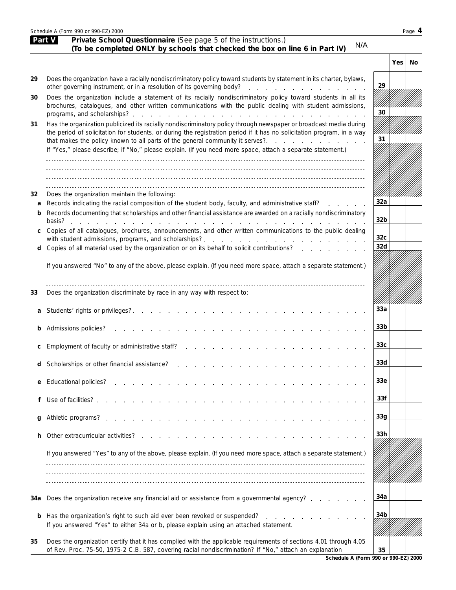|     | Schedule A (Form 990 or 990-EZ) 2000<br>Page 4                                                                                                                                                                                                                                                                                                                       |                 |            |    |  |  |  |  |
|-----|----------------------------------------------------------------------------------------------------------------------------------------------------------------------------------------------------------------------------------------------------------------------------------------------------------------------------------------------------------------------|-----------------|------------|----|--|--|--|--|
|     | Private School Questionnaire (See page 5 of the instructions.)<br>Part V<br>N/A<br>(To be completed ONLY by schools that checked the box on line 6 in Part IV)                                                                                                                                                                                                       |                 |            |    |  |  |  |  |
|     |                                                                                                                                                                                                                                                                                                                                                                      |                 | <b>Yes</b> | No |  |  |  |  |
| 29  | Does the organization have a racially nondiscriminatory policy toward students by statement in its charter, bylaws,                                                                                                                                                                                                                                                  | 29              |            |    |  |  |  |  |
| 30  | Does the organization include a statement of its racially nondiscriminatory policy toward students in all its<br>brochures, catalogues, and other written communications with the public dealing with student admissions,                                                                                                                                            | 30              |            |    |  |  |  |  |
| 31  | Has the organization publicized its racially nondiscriminatory policy through newspaper or broadcast media during<br>the period of solicitation for students, or during the registration period if it has no solicitation program, in a way<br>that makes the policy known to all parts of the general community it serves?.                                         | 31              |            |    |  |  |  |  |
|     | If "Yes," please describe; if "No," please explain. (If you need more space, attach a separate statement.)                                                                                                                                                                                                                                                           |                 |            |    |  |  |  |  |
|     |                                                                                                                                                                                                                                                                                                                                                                      |                 |            |    |  |  |  |  |
| 32  | Does the organization maintain the following:                                                                                                                                                                                                                                                                                                                        |                 |            |    |  |  |  |  |
| a   | Records indicating the racial composition of the student body, faculty, and administrative staff?                                                                                                                                                                                                                                                                    | 32a             |            |    |  |  |  |  |
| b   | Records documenting that scholarships and other financial assistance are awarded on a racially nondiscriminatory<br>basis? experience and the set of the set of the set of the set of the set of the set of the set of the set of the set of the set of the set of the set of the set of the set of the set of the set of the set of the set of th<br><b>Service</b> | 32 <sub>b</sub> |            |    |  |  |  |  |
| C   | Copies of all catalogues, brochures, announcements, and other written communications to the public dealing                                                                                                                                                                                                                                                           | 32 <sub>c</sub> |            |    |  |  |  |  |
| d   | Copies of all material used by the organization or on its behalf to solicit contributions?                                                                                                                                                                                                                                                                           | 32d             |            |    |  |  |  |  |
|     | If you answered "No" to any of the above, please explain. (If you need more space, attach a separate statement.)                                                                                                                                                                                                                                                     |                 |            |    |  |  |  |  |
| 33  | Does the organization discriminate by race in any way with respect to:                                                                                                                                                                                                                                                                                               |                 |            |    |  |  |  |  |
| a   | Students' rights or privileges?.                                                                                                                                                                                                                                                                                                                                     | 33a             |            |    |  |  |  |  |
|     | Admissions policies?                                                                                                                                                                                                                                                                                                                                                 | 33 <sub>b</sub> |            |    |  |  |  |  |
|     | Employment of faculty or administrative staff?                                                                                                                                                                                                                                                                                                                       | 33 <sub>c</sub> |            |    |  |  |  |  |
| d   | Scholarships or other financial assistance?                                                                                                                                                                                                                                                                                                                          | 33d             |            |    |  |  |  |  |
| е   | <b>Educational policies?</b>                                                                                                                                                                                                                                                                                                                                         | 33 <sub>e</sub> |            |    |  |  |  |  |
| f   | Use of facilities?                                                                                                                                                                                                                                                                                                                                                   | 33f             |            |    |  |  |  |  |
| g   |                                                                                                                                                                                                                                                                                                                                                                      | 33g             |            |    |  |  |  |  |
| h.  | Other extracurricular activities?<br>the contract of the contract of the contract of the contract of the contract of the contract of the contract of                                                                                                                                                                                                                 | 33 <sub>h</sub> |            |    |  |  |  |  |
|     | If you answered "Yes" to any of the above, please explain. (If you need more space, attach a separate statement.)                                                                                                                                                                                                                                                    |                 |            |    |  |  |  |  |
|     |                                                                                                                                                                                                                                                                                                                                                                      |                 |            |    |  |  |  |  |
| 34a | Does the organization receive any financial aid or assistance from a governmental agency?                                                                                                                                                                                                                                                                            | 34a             |            |    |  |  |  |  |
| b   | Has the organization's right to such aid ever been revoked or suspended?<br>If you answered "Yes" to either 34a or b, please explain using an attached statement.                                                                                                                                                                                                    | 34b             |            |    |  |  |  |  |
| 35  | Does the organization certify that it has complied with the applicable requirements of sections 4.01 through 4.05<br>of Rev. Proc. 75-50, 1975-2 C.B. 587, covering racial nondiscrimination? If "No," attach an explanation                                                                                                                                         | 35              |            |    |  |  |  |  |
|     |                                                                                                                                                                                                                                                                                                                                                                      |                 |            |    |  |  |  |  |

**Schedule A (Form 990 or 990-EZ) 2000**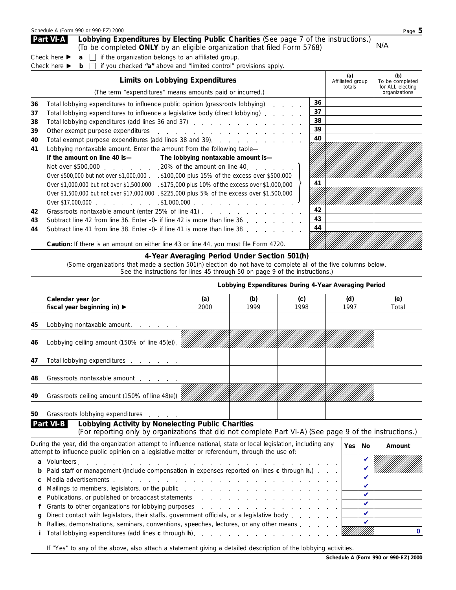|                                  | Schedule A (Form 990 or 990-EZ) 2000                                                                                                                                                                                                                                                                                                                                                                                                                                                                                                                                                                                                                                                                                                                                                                                                                                                                                                                                                                                                   |                                        |                                   | Page 5                                                      |
|----------------------------------|----------------------------------------------------------------------------------------------------------------------------------------------------------------------------------------------------------------------------------------------------------------------------------------------------------------------------------------------------------------------------------------------------------------------------------------------------------------------------------------------------------------------------------------------------------------------------------------------------------------------------------------------------------------------------------------------------------------------------------------------------------------------------------------------------------------------------------------------------------------------------------------------------------------------------------------------------------------------------------------------------------------------------------------|----------------------------------------|-----------------------------------|-------------------------------------------------------------|
|                                  | Part VI-A<br>Lobbying Expenditures by Electing Public Charities (See page 7 of the instructions.)<br>(To be completed ONLY by an eligible organization that filed Form 5768)                                                                                                                                                                                                                                                                                                                                                                                                                                                                                                                                                                                                                                                                                                                                                                                                                                                           |                                        |                                   | N/A                                                         |
|                                  | Check here $\blacktriangleright$<br>if the organization belongs to an affiliated group.<br>$\mathbf{a}$<br>if you checked "a" above and "limited control" provisions apply.<br>Check here $\blacktriangleright$<br>b.                                                                                                                                                                                                                                                                                                                                                                                                                                                                                                                                                                                                                                                                                                                                                                                                                  |                                        |                                   |                                                             |
|                                  | <b>Limits on Lobbying Expenditures</b><br>(The term "expenditures" means amounts paid or incurred.)                                                                                                                                                                                                                                                                                                                                                                                                                                                                                                                                                                                                                                                                                                                                                                                                                                                                                                                                    |                                        | (a)<br>Affiliated group<br>totals | (b)<br>To be completed<br>for ALL electing<br>organizations |
| 36<br>37<br>38<br>39<br>40<br>41 | Total lobbying expenditures to influence public opinion (grassroots lobbying)<br>and the company<br>Total lobbying expenditures to influence a legislative body (direct lobbying)<br>Total lobbying expenditures (add lines 36 and 37)<br>Other exempt purpose expenditures example and a series of the series of the series of the series of the series of the series of the series of the series of the series of the series of the series of the series of the series<br>Total exempt purpose expenditures (add lines 38 and 39).<br>Lobbying nontaxable amount. Enter the amount from the following table-<br>If the amount on line 40 is—<br>The lobbying nontaxable amount is-<br>Not over \$500,000 20% of the amount on line 40.<br>Over \$500,000 but not over \$1,000,000 . \$100,000 plus 15% of the excess over \$500,000<br>Over \$1,000,000 but not over \$1,500,000 .\$175,000 plus 10% of the excess over \$1,000,000<br>Over \$1,500,000 but not over \$17,000,000 . \$225,000 plus 5% of the excess over \$1,500,000 | 36<br>37<br>38<br>39<br>40<br>41<br>42 |                                   |                                                             |
| 42<br>43                         | Subtract line 42 from line 36. Enter -0- if line 42 is more than line 36                                                                                                                                                                                                                                                                                                                                                                                                                                                                                                                                                                                                                                                                                                                                                                                                                                                                                                                                                               | 43                                     |                                   |                                                             |

|  |  | 44 Subtract line 41 from line 38. Enter -0- if line 41 is more than line 38 $\frac{44}{\sqrt{111}}$ |  |  |  |  |  |  |  |  |
|--|--|-----------------------------------------------------------------------------------------------------|--|--|--|--|--|--|--|--|
|--|--|-----------------------------------------------------------------------------------------------------|--|--|--|--|--|--|--|--|

**Caution:** *If there is an amount on either line 43 or line 44, you must file Form 4720.*

#### **4-Year Averaging Period Under Section 501(h)**

(Some organizations that made a section 501(h) election do not have to complete all of the five columns below.

See the instructions for lines 45 through 50 on page 9 of the instructions.)

|    |                                                                |      |      |      | Lobbying Expenditures During 4-Year Averaging Period |       |
|----|----------------------------------------------------------------|------|------|------|------------------------------------------------------|-------|
|    | Calendar year (or                                              | (a)  | (b)  | (c)  | (d)                                                  | (e)   |
|    | fiscal year beginning in) ▶                                    | 2000 | 1999 | 1998 | 1997                                                 | Total |
| 45 | Lobbying nontaxable amount.                                    |      |      |      |                                                      |       |
| 46 | Lobbying ceiling amount (150% of line 45(e)).                  |      |      |      |                                                      |       |
| 47 | Total lobbying expenditures                                    |      |      |      |                                                      |       |
| 48 | Grassroots nontaxable amount example.                          |      |      |      |                                                      |       |
| 49 | Grassroots ceiling amount (150% of line 48(e))                 |      |      |      |                                                      |       |
| 50 | Grassroots lobbying expenditures                               |      |      |      |                                                      |       |
|    | Part VI-B<br>Lobbying Activity by Nonelecting Public Charities |      |      |      |                                                      |       |

| (For reporting only by organizations that did not complete Part VI-A) (See page 9 of the instructions.)                                                                                                                        |     |                            |        |
|--------------------------------------------------------------------------------------------------------------------------------------------------------------------------------------------------------------------------------|-----|----------------------------|--------|
| During the year, did the organization attempt to influence national, state or local legislation, including any<br>attempt to influence public opinion on a legislative matter or referendum, through the use of:               | Yes | No                         | Amount |
|                                                                                                                                                                                                                                |     |                            |        |
| <b>b</b> Paid staff or management (Include compensation in expenses reported on lines c through <b>h</b> .)                                                                                                                    |     | $\boldsymbol{\nu}$         |        |
|                                                                                                                                                                                                                                |     | ✔                          |        |
|                                                                                                                                                                                                                                |     | ✔                          |        |
| e Publications, or published or broadcast statements enters and a series of the contract of the Publications, or published or broadcast statements and a series of the Publications of the Publications of the Publications of |     | $\boldsymbol{\mathcal{U}}$ |        |
| f Grants to other organizations for lobbying purposes entering the state of the state of the state of the state of the state of the state of the state of the state of the state of the state of the state of the state of the |     | $\boldsymbol{\mathcal{U}}$ |        |
| <b>g</b> Direct contact with legislators, their staffs, government officials, or a legislative body $\ldots$ , $\ldots$                                                                                                        |     | $\boldsymbol{\mathcal{U}}$ |        |
| <b>h</b> Rallies, demonstrations, seminars, conventions, speeches, lectures, or any other means $\dots$ $\dots$                                                                                                                |     | $\boldsymbol{\nu}$         |        |
| Total lobbying expenditures (add lines c through h). (a) and a series and a series of the series of the Total L                                                                                                                |     |                            |        |

If "Yes" to any of the above, also attach a statement giving a detailed description of the lobbying activities.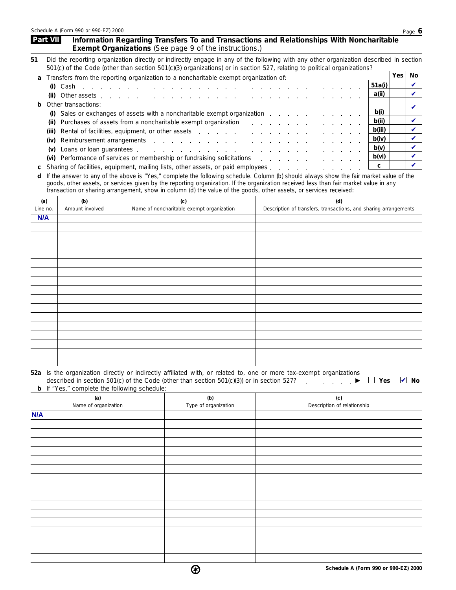| Part VII | Information Regarding Transfers To and Transactions and Relationships With Noncharitable |
|----------|------------------------------------------------------------------------------------------|
|          | <b>Exempt Organizations</b> (See page 9 of the instructions.)                            |
|          |                                                                                          |

| 51 Did the reporting organization directly or indirectly engage in any of the following with any other organization described in section |  |
|------------------------------------------------------------------------------------------------------------------------------------------|--|
| 501(c) of the Code (other than section 501(c)(3) organizations) or in section 527, relating to political organizations?                  |  |

|                                                                                   | <b>Yes</b><br>a Transfers from the reporting organization to a noncharitable exempt organization of:                                                |                              |         |  |  |  |  |
|-----------------------------------------------------------------------------------|-----------------------------------------------------------------------------------------------------------------------------------------------------|------------------------------|---------|--|--|--|--|
|                                                                                   |                                                                                                                                                     |                              | 51a(i)  |  |  |  |  |
|                                                                                   |                                                                                                                                                     |                              | . a(ii) |  |  |  |  |
|                                                                                   |                                                                                                                                                     | <b>b</b> Other transactions: |         |  |  |  |  |
| b(i)<br>(i) Sales or exchanges of assets with a noncharitable exempt organization |                                                                                                                                                     |                              |         |  |  |  |  |
|                                                                                   | (ii)                                                                                                                                                |                              | b(ii)   |  |  |  |  |
|                                                                                   |                                                                                                                                                     |                              | b(iii)  |  |  |  |  |
|                                                                                   |                                                                                                                                                     |                              | b(iv)   |  |  |  |  |
|                                                                                   | (v)                                                                                                                                                 |                              | b(v)    |  |  |  |  |
|                                                                                   | b(vi)<br>(vi) Performance of services or membership or fundraising solicitations enterstance of services or membership or fundraising solicitations |                              |         |  |  |  |  |
|                                                                                   |                                                                                                                                                     |                              |         |  |  |  |  |

If the answer to any of the above is "Yes," complete the following schedule. Column (b) should always show the fair market value of the goods, other assets, or services given by the reporting organization. If the organization received less than fair market value in any transaction or sharing arrangement, show in column (d) the value of the goods, other assets, or services received: **d**

| (a)<br>Line no. | (b)<br>Amount involved | (c)<br>Name of noncharitable exempt organization | (d)<br>Description of transfers, transactions, and sharing arrangements |
|-----------------|------------------------|--------------------------------------------------|-------------------------------------------------------------------------|
| N/A             |                        |                                                  |                                                                         |
|                 |                        |                                                  |                                                                         |
|                 |                        |                                                  |                                                                         |
|                 |                        |                                                  |                                                                         |
|                 |                        |                                                  |                                                                         |
|                 |                        |                                                  |                                                                         |
|                 |                        |                                                  |                                                                         |
|                 |                        |                                                  |                                                                         |
|                 |                        |                                                  |                                                                         |
|                 |                        |                                                  |                                                                         |
|                 |                        |                                                  |                                                                         |
|                 |                        |                                                  |                                                                         |
|                 |                        |                                                  |                                                                         |
|                 |                        |                                                  |                                                                         |
|                 |                        |                                                  |                                                                         |
|                 |                        |                                                  |                                                                         |
|                 |                        |                                                  |                                                                         |
|                 |                        |                                                  |                                                                         |

| 52a Is the organization directly or indirectly affiliated with, or related to, one or more tax-exempt organizations                        |  |
|--------------------------------------------------------------------------------------------------------------------------------------------|--|
| described in section 501(c) of the Code (other than section 501(c)(3)) or in section 527? $\blacktriangleright \Box$ Yes $\blacksquare$ No |  |
| <b>b</b> If "Yes," complete the following schedule:                                                                                        |  |

| (a)                  | (b)                  | (c)                         |
|----------------------|----------------------|-----------------------------|
| Name of organization | Type of organization | Description of relationship |
| N/A                  |                      |                             |
|                      |                      |                             |
|                      |                      |                             |
|                      |                      |                             |
|                      |                      |                             |
|                      |                      |                             |
|                      |                      |                             |
|                      |                      |                             |
|                      |                      |                             |
|                      |                      |                             |
|                      |                      |                             |
|                      |                      |                             |
|                      |                      |                             |
|                      |                      |                             |
|                      |                      |                             |
|                      |                      |                             |
|                      |                      |                             |

❸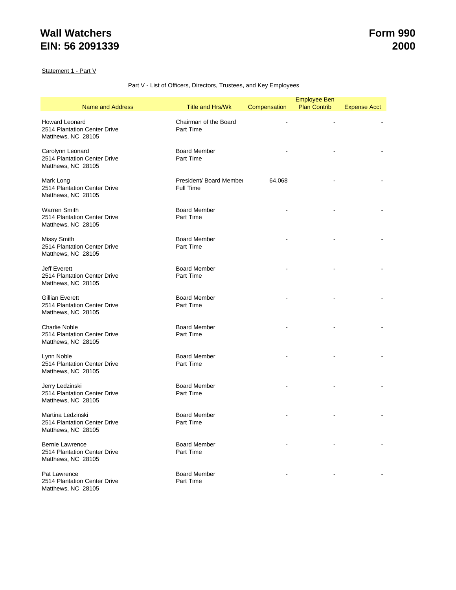Statement 1 - Part V

#### Part V - List of Officers, Directors, Trustees, and Key Employees

|                                                                              |                                      |              | <b>Employee Ben</b> |                     |
|------------------------------------------------------------------------------|--------------------------------------|--------------|---------------------|---------------------|
| <b>Name and Address</b>                                                      | <b>Title and Hrs/Wk</b>              | Compensation | <b>Plan Contrib</b> | <b>Expense Acct</b> |
| Howard Leonard<br>2514 Plantation Center Drive<br>Matthews, NC 28105         | Chairman of the Board<br>Part Time   |              |                     |                     |
| Carolynn Leonard<br>2514 Plantation Center Drive<br>Matthews, NC 28105       | <b>Board Member</b><br>Part Time     |              |                     |                     |
| Mark Long<br>2514 Plantation Center Drive<br>Matthews, NC 28105              | President/ Board Member<br>Full Time | 64,068       |                     |                     |
| <b>Warren Smith</b><br>2514 Plantation Center Drive<br>Matthews, NC 28105    | <b>Board Member</b><br>Part Time     |              |                     |                     |
| Missy Smith<br>2514 Plantation Center Drive<br>Matthews, NC 28105            | <b>Board Member</b><br>Part Time     |              |                     |                     |
| <b>Jeff Everett</b><br>2514 Plantation Center Drive<br>Matthews, NC 28105    | <b>Board Member</b><br>Part Time     |              |                     |                     |
| Gillian Everett<br>2514 Plantation Center Drive<br>Matthews, NC 28105        | <b>Board Member</b><br>Part Time     |              |                     |                     |
| <b>Charlie Noble</b><br>2514 Plantation Center Drive<br>Matthews, NC 28105   | <b>Board Member</b><br>Part Time     |              |                     |                     |
| Lynn Noble<br>2514 Plantation Center Drive<br>Matthews, NC 28105             | <b>Board Member</b><br>Part Time     |              |                     |                     |
| Jerry Ledzinski<br>2514 Plantation Center Drive<br>Matthews, NC 28105        | <b>Board Member</b><br>Part Time     |              |                     |                     |
| Martina Ledzinski<br>2514 Plantation Center Drive<br>Matthews, NC 28105      | <b>Board Member</b><br>Part Time     |              |                     |                     |
| <b>Bernie Lawrence</b><br>2514 Plantation Center Drive<br>Matthews, NC 28105 | <b>Board Member</b><br>Part Time     |              |                     |                     |
| Pat Lawrence<br>2514 Plantation Center Drive<br>Matthews, NC 28105           | <b>Board Member</b><br>Part Time     |              |                     |                     |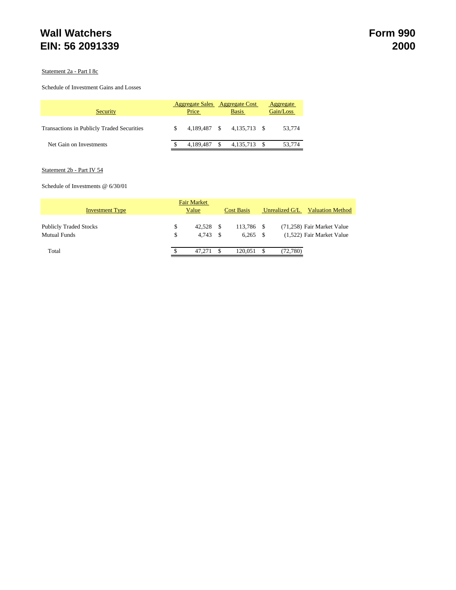#### Statement 2a - Part I 8c

#### Schedule of Investment Gains and Losses

| Security                                          |  | <b>Aggregate Sales</b><br>Price |    | Aggregate Cost<br><b>Basis</b> | Aggregate<br>Gain/Loss |
|---------------------------------------------------|--|---------------------------------|----|--------------------------------|------------------------|
| <b>Transactions in Publicly Traded Securities</b> |  | 4.189.487 \$                    |    | 4.135.713 \$                   | 53,774                 |
| Net Gain on Investments                           |  | 4.189.487                       | -S | 4,135,713 \$                   | 53,774                 |

#### Statement 2b - Part IV 54

#### Schedule of Investments @ 6/30/01

| <b>Fair Market</b>                                   |          |                 |      |                          |   |                                                         |  |  |  |
|------------------------------------------------------|----------|-----------------|------|--------------------------|---|---------------------------------------------------------|--|--|--|
| <b>Investment Type</b>                               |          | Value           |      | <b>Cost Basis</b>        |   | Unrealized G/L<br><b>Valuation Method</b>               |  |  |  |
| <b>Publicly Traded Stocks</b><br><b>Mutual Funds</b> | \$<br>\$ | 42.528<br>4.743 | - \$ | 113.786 \$<br>$6.265$ \$ |   | (71,258) Fair Market Value<br>(1,522) Fair Market Value |  |  |  |
| Total                                                |          | 47.271          |      | 120.051                  | S | (72, 780)                                               |  |  |  |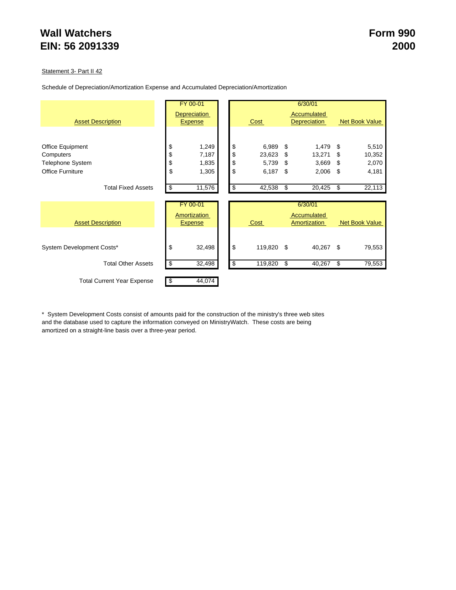#### Statement 3- Part II 42

|                                   | FY 00-01            |                |                  |             | 6/30/01             |                       |
|-----------------------------------|---------------------|----------------|------------------|-------------|---------------------|-----------------------|
|                                   | <b>Depreciation</b> |                |                  | Accumulated |                     |                       |
| <b>Asset Description</b>          |                     | <b>Expense</b> | Cost             |             | <b>Depreciation</b> | <b>Net Book Value</b> |
|                                   |                     |                |                  |             |                     |                       |
| Office Equipment                  | \$                  | 1,249          | \$<br>6,989      | \$          | 1,479               | \$<br>5,510           |
| Computers                         | \$                  | 7,187          | \$<br>23,623     | \$          | 13,271              | \$<br>10,352          |
| <b>Telephone System</b>           | \$                  | 1,835          | \$<br>5,739      | \$          | 3,669               | \$<br>2,070           |
| <b>Office Furniture</b>           | \$                  | 1,305          | \$<br>6,187      | \$          | 2,006               | \$<br>4,181           |
|                                   |                     |                |                  |             |                     |                       |
| <b>Total Fixed Assets</b>         | \$                  | 11,576         | \$<br>42,538     | \$          | 20,425              | \$<br>22,113          |
|                                   |                     |                |                  |             |                     |                       |
|                                   |                     | FY 00-01       |                  |             | 6/30/01             |                       |
|                                   |                     | Amortization   |                  |             | Accumulated         |                       |
| <b>Asset Description</b>          |                     | <b>Expense</b> | Cost             |             | Amortization        | Net Book Value        |
|                                   |                     |                |                  |             |                     |                       |
| System Development Costs*         | \$                  | 32,498         | \$<br>119,820 \$ |             | 40,267              | \$<br>79,553          |
|                                   |                     |                |                  |             |                     |                       |
| <b>Total Other Assets</b>         | \$                  | 32,498         | \$<br>119,820    | \$          | 40,267              | \$<br>79,553          |
| <b>Total Current Year Expense</b> | \$                  | 44,074         |                  |             |                     |                       |

\* System Development Costs consist of amounts paid for the construction of the ministry's three web sites and the database used to capture the information conveyed on MinistryWatch. These costs are being amortized on a straight-line basis over a three-year period.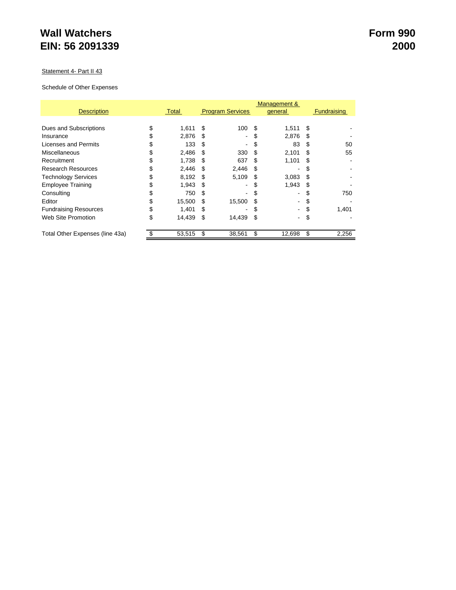#### Statement 4- Part II 43

#### Schedule of Other Expenses

|                                 |    | Management & |      |                          |     |         |     |                    |
|---------------------------------|----|--------------|------|--------------------------|-----|---------|-----|--------------------|
| <b>Description</b>              |    | Total        |      | <b>Program Services</b>  |     | general |     | <b>Fundraising</b> |
|                                 |    |              |      |                          |     |         |     |                    |
| Dues and Subscriptions          | S  | 1,611        | - \$ | 100                      | \$. | 1,511   | \$  |                    |
| Insurance                       | \$ | 2.876        | \$.  | $\overline{\phantom{0}}$ |     | 2.876   | \$  |                    |
| Licenses and Permits            |    | 133          | -S   |                          | S   | 83      | \$. | 50                 |
| Miscellaneous                   | S  | 2,486        | -SS  | 330                      | S   | 2,101   | S   | 55                 |
| Recruitment                     |    | 1,738        | £.   | 637                      | £.  | 1,101   | S   |                    |
| <b>Research Resources</b>       |    | 2,446        | \$.  | 2,446                    | S   |         |     |                    |
| <b>Technology Services</b>      | S  | 8,192        | -S   | 5,109                    | \$. | 3,083   | \$. |                    |
| <b>Employee Training</b>        | \$ | 1.943        | -SS  | Ξ.                       | S   | 1.943   | \$  |                    |
| Consulting                      |    | 750          | S    |                          | S   | ۰       | S   | 750                |
| Editor                          | \$ | 15,500       | S    | 15,500                   |     | ۰       |     |                    |
| <b>Fundraising Resources</b>    | \$ | 1.401        | S    | ۰.                       | S   | ۰       |     | 1,401              |
| Web Site Promotion              | \$ | 14,439       | S    | 14,439                   | S   | ۰       | \$  |                    |
| Total Other Expenses (line 43a) |    | 53,515       | S    | 38,561                   | S   | 12,698  | \$  | 2,256              |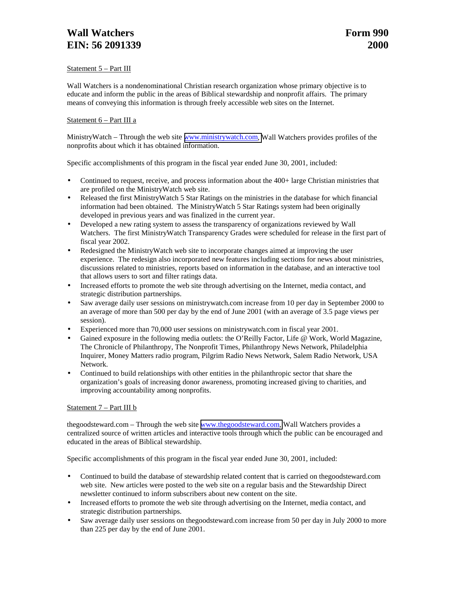### **Wall Watchers Form 990 EIN:** 56 2091339 2000

#### Statement 5 – Part III

Wall Watchers is a nondenominational Christian research organization whose primary objective is to educate and inform the public in the areas of Biblical stewardship and nonprofit affairs. The primary means of conveying this information is through freely accessible web sites on the Internet.

#### Statement 6 – Part III a

MinistryWatch – Through the web site [www.ministrywatch.com,](http://www.ministrywatch.com/) Wall Watchers provides profiles of the nonprofits about which it has obtained information.

Specific accomplishments of this program in the fiscal year ended June 30, 2001, included:

- Continued to request, receive, and process information about the 400+ large Christian ministries that are profiled on the MinistryWatch web site.
- Released the first MinistryWatch 5 Star Ratings on the ministries in the database for which financial information had been obtained. The MinistryWatch 5 Star Ratings system had been originally developed in previous years and was finalized in the current year.
- Developed a new rating system to assess the transparency of organizations reviewed by Wall Watchers. The first MinistryWatch Transparency Grades were scheduled for release in the first part of fiscal year 2002.
- Redesigned the MinistryWatch web site to incorporate changes aimed at improving the user experience. The redesign also incorporated new features including sections for news about ministries, discussions related to ministries, reports based on information in the database, and an interactive tool that allows users to sort and filter ratings data.
- Increased efforts to promote the web site through advertising on the Internet, media contact, and strategic distribution partnerships.
- Saw average daily user sessions on ministrywatch.com increase from 10 per day in September 2000 to an average of more than 500 per day by the end of June 2001 (with an average of 3.5 page views per session).
- Experienced more than 70,000 user sessions on ministrywatch.com in fiscal year 2001.
- Gained exposure in the following media outlets: the O'Reilly Factor, Life @ Work, World Magazine, The Chronicle of Philanthropy, The Nonprofit Times, Philanthropy News Network, Philadelphia Inquirer, Money Matters radio program, Pilgrim Radio News Network, Salem Radio Network, USA Network.
- Continued to build relationships with other entities in the philanthropic sector that share the organization's goals of increasing donor awareness, promoting increased giving to charities, and improving accountability among nonprofits.

#### Statement 7 – Part III b

thegoodsteward.com – Through the web site [www.thegoodsteward.com,](http://www.thegoodsteward.com/) Wall Watchers provides a centralized source of written articles and interactive tools through which the public can be encouraged and educated in the areas of Biblical stewardship.

Specific accomplishments of this program in the fiscal year ended June 30, 2001, included:

- Continued to build the database of stewardship related content that is carried on the goodsteward.com web site. New articles were posted to the web site on a regular basis and the Stewardship Direct newsletter continued to inform subscribers about new content on the site.
- Increased efforts to promote the web site through advertising on the Internet, media contact, and strategic distribution partnerships.
- Saw average daily user sessions on thegoodsteward.com increase from 50 per day in July 2000 to more than 225 per day by the end of June 2001.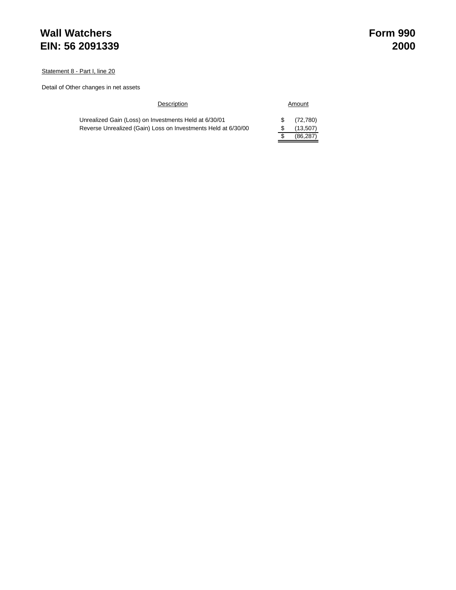Statement 8 - Part I, line 20

Detail of Other changes in net assets

| Description                                                   |    | Amount    |
|---------------------------------------------------------------|----|-----------|
| Unrealized Gain (Loss) on Investments Held at 6/30/01         | S. | (72.780)  |
| Reverse Unrealized (Gain) Loss on Investments Held at 6/30/00 |    | (13,507)  |
|                                                               |    | (86, 287) |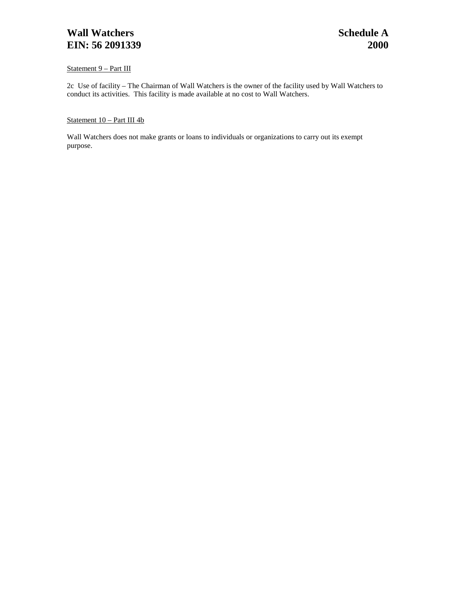### **Wall Watchers** Schedule A **Schedule A EIN:** 56 2091339 2000

#### Statement 9 – Part III

2c Use of facility – The Chairman of Wall Watchers is the owner of the facility used by Wall Watchers to conduct its activities. This facility is made available at no cost to Wall Watchers.

### Statement 10 – Part III 4b

Wall Watchers does not make grants or loans to individuals or organizations to carry out its exempt purpose.